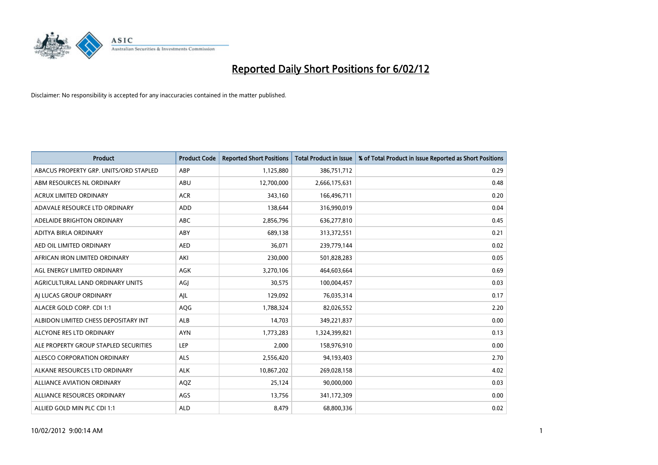

| <b>Product</b>                         | <b>Product Code</b> | <b>Reported Short Positions</b> | <b>Total Product in Issue</b> | % of Total Product in Issue Reported as Short Positions |
|----------------------------------------|---------------------|---------------------------------|-------------------------------|---------------------------------------------------------|
| ABACUS PROPERTY GRP. UNITS/ORD STAPLED | ABP                 | 1,125,880                       | 386,751,712                   | 0.29                                                    |
| ABM RESOURCES NL ORDINARY              | ABU                 | 12,700,000                      | 2,666,175,631                 | 0.48                                                    |
| <b>ACRUX LIMITED ORDINARY</b>          | <b>ACR</b>          | 343,160                         | 166,496,711                   | 0.20                                                    |
| ADAVALE RESOURCE LTD ORDINARY          | <b>ADD</b>          | 138,644                         | 316,990,019                   | 0.04                                                    |
| ADELAIDE BRIGHTON ORDINARY             | <b>ABC</b>          | 2,856,796                       | 636,277,810                   | 0.45                                                    |
| ADITYA BIRLA ORDINARY                  | ABY                 | 689,138                         | 313,372,551                   | 0.21                                                    |
| AED OIL LIMITED ORDINARY               | <b>AED</b>          | 36,071                          | 239,779,144                   | 0.02                                                    |
| AFRICAN IRON LIMITED ORDINARY          | AKI                 | 230,000                         | 501,828,283                   | 0.05                                                    |
| AGL ENERGY LIMITED ORDINARY            | AGK                 | 3,270,106                       | 464,603,664                   | 0.69                                                    |
| AGRICULTURAL LAND ORDINARY UNITS       | AGI                 | 30,575                          | 100,004,457                   | 0.03                                                    |
| AI LUCAS GROUP ORDINARY                | AJL                 | 129,092                         | 76,035,314                    | 0.17                                                    |
| ALACER GOLD CORP. CDI 1:1              | AQG                 | 1,788,324                       | 82,026,552                    | 2.20                                                    |
| ALBIDON LIMITED CHESS DEPOSITARY INT   | ALB                 | 14,703                          | 349,221,837                   | 0.00                                                    |
| ALCYONE RES LTD ORDINARY               | <b>AYN</b>          | 1,773,283                       | 1,324,399,821                 | 0.13                                                    |
| ALE PROPERTY GROUP STAPLED SECURITIES  | <b>LEP</b>          | 2,000                           | 158,976,910                   | 0.00                                                    |
| ALESCO CORPORATION ORDINARY            | ALS                 | 2,556,420                       | 94,193,403                    | 2.70                                                    |
| ALKANE RESOURCES LTD ORDINARY          | <b>ALK</b>          | 10,867,202                      | 269,028,158                   | 4.02                                                    |
| <b>ALLIANCE AVIATION ORDINARY</b>      | AQZ                 | 25,124                          | 90,000,000                    | 0.03                                                    |
| ALLIANCE RESOURCES ORDINARY            | AGS                 | 13,756                          | 341,172,309                   | 0.00                                                    |
| ALLIED GOLD MIN PLC CDI 1:1            | <b>ALD</b>          | 8,479                           | 68,800,336                    | 0.02                                                    |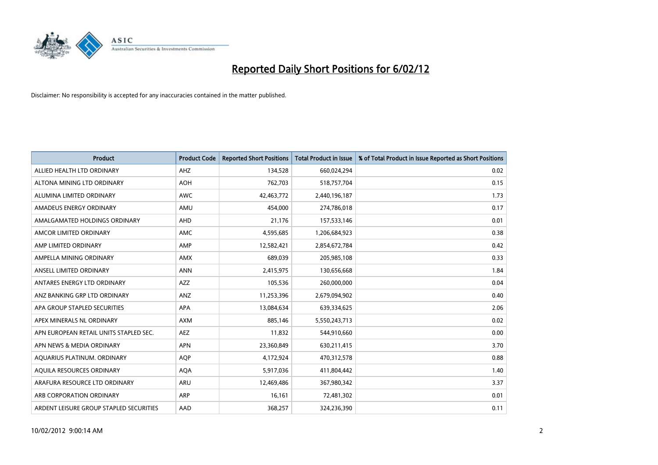

| <b>Product</b>                          | <b>Product Code</b> | <b>Reported Short Positions</b> | <b>Total Product in Issue</b> | % of Total Product in Issue Reported as Short Positions |
|-----------------------------------------|---------------------|---------------------------------|-------------------------------|---------------------------------------------------------|
| ALLIED HEALTH LTD ORDINARY              | AHZ                 | 134,528                         | 660,024,294                   | 0.02                                                    |
| ALTONA MINING LTD ORDINARY              | <b>AOH</b>          | 762,703                         | 518,757,704                   | 0.15                                                    |
| ALUMINA LIMITED ORDINARY                | <b>AWC</b>          | 42,463,772                      | 2,440,196,187                 | 1.73                                                    |
| AMADEUS ENERGY ORDINARY                 | AMU                 | 454,000                         | 274,786,018                   | 0.17                                                    |
| AMALGAMATED HOLDINGS ORDINARY           | AHD                 | 21,176                          | 157,533,146                   | 0.01                                                    |
| AMCOR LIMITED ORDINARY                  | AMC                 | 4,595,685                       | 1,206,684,923                 | 0.38                                                    |
| AMP LIMITED ORDINARY                    | AMP                 | 12,582,421                      | 2,854,672,784                 | 0.42                                                    |
| AMPELLA MINING ORDINARY                 | AMX                 | 689,039                         | 205,985,108                   | 0.33                                                    |
| ANSELL LIMITED ORDINARY                 | <b>ANN</b>          | 2,415,975                       | 130,656,668                   | 1.84                                                    |
| ANTARES ENERGY LTD ORDINARY             | AZZ                 | 105,536                         | 260,000,000                   | 0.04                                                    |
| ANZ BANKING GRP LTD ORDINARY            | ANZ                 | 11,253,396                      | 2,679,094,902                 | 0.40                                                    |
| APA GROUP STAPLED SECURITIES            | APA                 | 13,084,634                      | 639,334,625                   | 2.06                                                    |
| APEX MINERALS NL ORDINARY               | <b>AXM</b>          | 885,146                         | 5,550,243,713                 | 0.02                                                    |
| APN EUROPEAN RETAIL UNITS STAPLED SEC.  | AEZ                 | 11,832                          | 544,910,660                   | 0.00                                                    |
| APN NEWS & MEDIA ORDINARY               | <b>APN</b>          | 23,360,849                      | 630,211,415                   | 3.70                                                    |
| AQUARIUS PLATINUM. ORDINARY             | <b>AOP</b>          | 4,172,924                       | 470,312,578                   | 0.88                                                    |
| AQUILA RESOURCES ORDINARY               | <b>AQA</b>          | 5,917,036                       | 411,804,442                   | 1.40                                                    |
| ARAFURA RESOURCE LTD ORDINARY           | <b>ARU</b>          | 12,469,486                      | 367,980,342                   | 3.37                                                    |
| ARB CORPORATION ORDINARY                | ARP                 | 16,161                          | 72,481,302                    | 0.01                                                    |
| ARDENT LEISURE GROUP STAPLED SECURITIES | AAD                 | 368,257                         | 324,236,390                   | 0.11                                                    |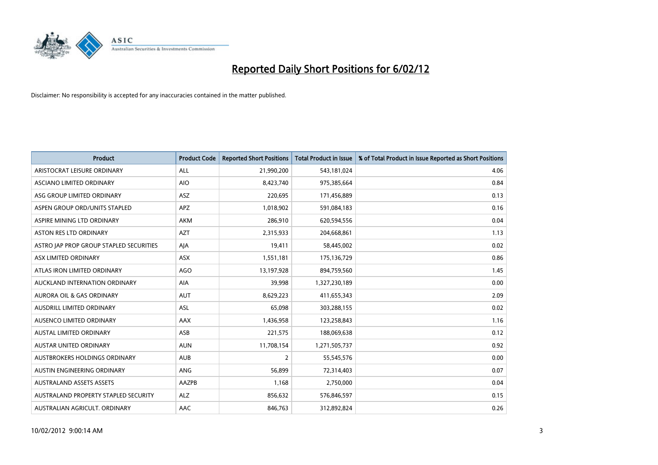

| <b>Product</b>                          | <b>Product Code</b> | <b>Reported Short Positions</b> | <b>Total Product in Issue</b> | % of Total Product in Issue Reported as Short Positions |
|-----------------------------------------|---------------------|---------------------------------|-------------------------------|---------------------------------------------------------|
| ARISTOCRAT LEISURE ORDINARY             | ALL                 | 21,990,200                      | 543,181,024                   | 4.06                                                    |
| ASCIANO LIMITED ORDINARY                | <b>AIO</b>          | 8,423,740                       | 975,385,664                   | 0.84                                                    |
| ASG GROUP LIMITED ORDINARY              | ASZ                 | 220,695                         | 171,456,889                   | 0.13                                                    |
| ASPEN GROUP ORD/UNITS STAPLED           | <b>APZ</b>          | 1,018,902                       | 591,084,183                   | 0.16                                                    |
| ASPIRE MINING LTD ORDINARY              | AKM                 | 286,910                         | 620,594,556                   | 0.04                                                    |
| <b>ASTON RES LTD ORDINARY</b>           | <b>AZT</b>          | 2,315,933                       | 204,668,861                   | 1.13                                                    |
| ASTRO JAP PROP GROUP STAPLED SECURITIES | AJA                 | 19,411                          | 58,445,002                    | 0.02                                                    |
| ASX LIMITED ORDINARY                    | ASX                 | 1,551,181                       | 175,136,729                   | 0.86                                                    |
| ATLAS IRON LIMITED ORDINARY             | <b>AGO</b>          | 13,197,928                      | 894,759,560                   | 1.45                                                    |
| AUCKLAND INTERNATION ORDINARY           | AIA                 | 39,998                          | 1,327,230,189                 | 0.00                                                    |
| AURORA OIL & GAS ORDINARY               | <b>AUT</b>          | 8,629,223                       | 411,655,343                   | 2.09                                                    |
| AUSDRILL LIMITED ORDINARY               | <b>ASL</b>          | 65,098                          | 303,288,155                   | 0.02                                                    |
| AUSENCO LIMITED ORDINARY                | AAX                 | 1,436,958                       | 123,258,843                   | 1.16                                                    |
| <b>AUSTAL LIMITED ORDINARY</b>          | ASB                 | 221,575                         | 188,069,638                   | 0.12                                                    |
| AUSTAR UNITED ORDINARY                  | <b>AUN</b>          | 11,708,154                      | 1,271,505,737                 | 0.92                                                    |
| AUSTBROKERS HOLDINGS ORDINARY           | <b>AUB</b>          | $\overline{2}$                  | 55,545,576                    | 0.00                                                    |
| AUSTIN ENGINEERING ORDINARY             | ANG                 | 56,899                          | 72,314,403                    | 0.07                                                    |
| <b>AUSTRALAND ASSETS ASSETS</b>         | AAZPB               | 1.168                           | 2,750,000                     | 0.04                                                    |
| AUSTRALAND PROPERTY STAPLED SECURITY    | <b>ALZ</b>          | 856,632                         | 576,846,597                   | 0.15                                                    |
| AUSTRALIAN AGRICULT. ORDINARY           | <b>AAC</b>          | 846,763                         | 312,892,824                   | 0.26                                                    |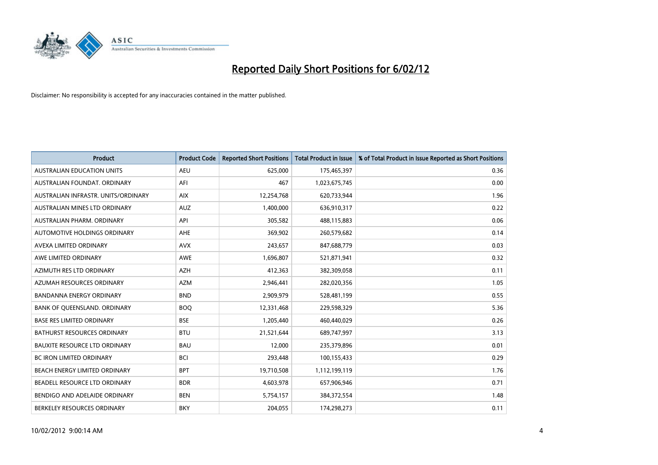

| <b>Product</b>                       | <b>Product Code</b> | <b>Reported Short Positions</b> | <b>Total Product in Issue</b> | % of Total Product in Issue Reported as Short Positions |
|--------------------------------------|---------------------|---------------------------------|-------------------------------|---------------------------------------------------------|
| <b>AUSTRALIAN EDUCATION UNITS</b>    | <b>AEU</b>          | 625,000                         | 175,465,397                   | 0.36                                                    |
| AUSTRALIAN FOUNDAT. ORDINARY         | AFI                 | 467                             | 1,023,675,745                 | 0.00                                                    |
| AUSTRALIAN INFRASTR, UNITS/ORDINARY  | <b>AIX</b>          | 12,254,768                      | 620,733,944                   | 1.96                                                    |
| AUSTRALIAN MINES LTD ORDINARY        | <b>AUZ</b>          | 1,400,000                       | 636,910,317                   | 0.22                                                    |
| AUSTRALIAN PHARM, ORDINARY           | API                 | 305,582                         | 488,115,883                   | 0.06                                                    |
| AUTOMOTIVE HOLDINGS ORDINARY         | <b>AHE</b>          | 369,902                         | 260,579,682                   | 0.14                                                    |
| AVEXA LIMITED ORDINARY               | <b>AVX</b>          | 243,657                         | 847,688,779                   | 0.03                                                    |
| AWE LIMITED ORDINARY                 | AWE                 | 1,696,807                       | 521,871,941                   | 0.32                                                    |
| AZIMUTH RES LTD ORDINARY             | <b>AZH</b>          | 412,363                         | 382,309,058                   | 0.11                                                    |
| AZUMAH RESOURCES ORDINARY            | <b>AZM</b>          | 2,946,441                       | 282,020,356                   | 1.05                                                    |
| BANDANNA ENERGY ORDINARY             | <b>BND</b>          | 2,909,979                       | 528,481,199                   | 0.55                                                    |
| BANK OF QUEENSLAND. ORDINARY         | <b>BOQ</b>          | 12,331,468                      | 229,598,329                   | 5.36                                                    |
| <b>BASE RES LIMITED ORDINARY</b>     | <b>BSE</b>          | 1,205,440                       | 460,440,029                   | 0.26                                                    |
| <b>BATHURST RESOURCES ORDINARY</b>   | <b>BTU</b>          | 21,521,644                      | 689,747,997                   | 3.13                                                    |
| <b>BAUXITE RESOURCE LTD ORDINARY</b> | <b>BAU</b>          | 12,000                          | 235,379,896                   | 0.01                                                    |
| <b>BC IRON LIMITED ORDINARY</b>      | <b>BCI</b>          | 293,448                         | 100,155,433                   | 0.29                                                    |
| BEACH ENERGY LIMITED ORDINARY        | <b>BPT</b>          | 19,710,508                      | 1,112,199,119                 | 1.76                                                    |
| BEADELL RESOURCE LTD ORDINARY        | <b>BDR</b>          | 4,603,978                       | 657,906,946                   | 0.71                                                    |
| BENDIGO AND ADELAIDE ORDINARY        | <b>BEN</b>          | 5,754,157                       | 384, 372, 554                 | 1.48                                                    |
| BERKELEY RESOURCES ORDINARY          | <b>BKY</b>          | 204,055                         | 174,298,273                   | 0.11                                                    |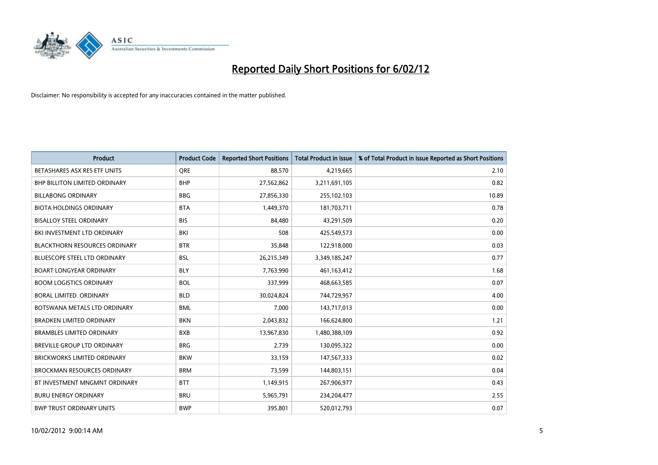

| <b>Product</b>                       | <b>Product Code</b> | <b>Reported Short Positions</b> | <b>Total Product in Issue</b> | % of Total Product in Issue Reported as Short Positions |
|--------------------------------------|---------------------|---------------------------------|-------------------------------|---------------------------------------------------------|
| BETASHARES ASX RES ETF UNITS         | <b>ORE</b>          | 88,570                          | 4,219,665                     | 2.10                                                    |
| <b>BHP BILLITON LIMITED ORDINARY</b> | <b>BHP</b>          | 27,562,862                      | 3,211,691,105                 | 0.82                                                    |
| <b>BILLABONG ORDINARY</b>            | <b>BBG</b>          | 27,856,330                      | 255,102,103                   | 10.89                                                   |
| <b>BIOTA HOLDINGS ORDINARY</b>       | <b>BTA</b>          | 1,449,370                       | 181,703,711                   | 0.78                                                    |
| <b>BISALLOY STEEL ORDINARY</b>       | <b>BIS</b>          | 84,480                          | 43,291,509                    | 0.20                                                    |
| BKI INVESTMENT LTD ORDINARY          | BKI                 | 508                             | 425,549,573                   | 0.00                                                    |
| <b>BLACKTHORN RESOURCES ORDINARY</b> | <b>BTR</b>          | 35,848                          | 122,918,000                   | 0.03                                                    |
| <b>BLUESCOPE STEEL LTD ORDINARY</b>  | <b>BSL</b>          | 26,215,349                      | 3,349,185,247                 | 0.77                                                    |
| <b>BOART LONGYEAR ORDINARY</b>       | <b>BLY</b>          | 7,763,990                       | 461,163,412                   | 1.68                                                    |
| <b>BOOM LOGISTICS ORDINARY</b>       | <b>BOL</b>          | 337,999                         | 468,663,585                   | 0.07                                                    |
| <b>BORAL LIMITED, ORDINARY</b>       | <b>BLD</b>          | 30,024,824                      | 744,729,957                   | 4.00                                                    |
| BOTSWANA METALS LTD ORDINARY         | <b>BML</b>          | 7,000                           | 143,717,013                   | 0.00                                                    |
| <b>BRADKEN LIMITED ORDINARY</b>      | <b>BKN</b>          | 2,043,832                       | 166,624,800                   | 1.21                                                    |
| <b>BRAMBLES LIMITED ORDINARY</b>     | <b>BXB</b>          | 13,967,830                      | 1,480,388,109                 | 0.92                                                    |
| <b>BREVILLE GROUP LTD ORDINARY</b>   | <b>BRG</b>          | 2,739                           | 130,095,322                   | 0.00                                                    |
| <b>BRICKWORKS LIMITED ORDINARY</b>   | <b>BKW</b>          | 33,159                          | 147,567,333                   | 0.02                                                    |
| <b>BROCKMAN RESOURCES ORDINARY</b>   | <b>BRM</b>          | 73,599                          | 144,803,151                   | 0.04                                                    |
| BT INVESTMENT MNGMNT ORDINARY        | <b>BTT</b>          | 1,149,915                       | 267,906,977                   | 0.43                                                    |
| <b>BURU ENERGY ORDINARY</b>          | <b>BRU</b>          | 5,965,791                       | 234,204,477                   | 2.55                                                    |
| <b>BWP TRUST ORDINARY UNITS</b>      | <b>BWP</b>          | 395,801                         | 520,012,793                   | 0.07                                                    |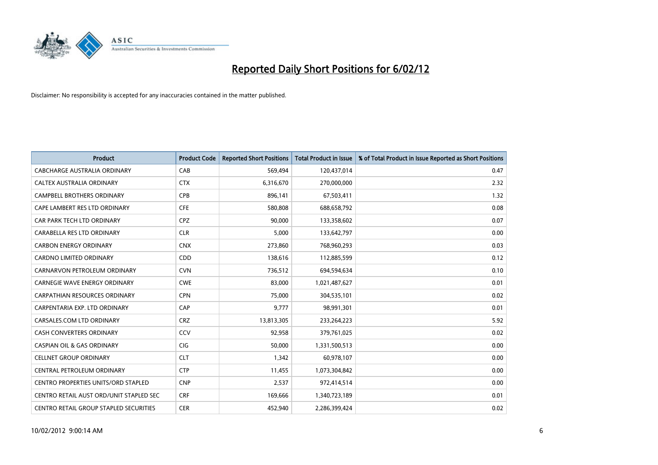

| <b>Product</b>                          | <b>Product Code</b> | <b>Reported Short Positions</b> | <b>Total Product in Issue</b> | % of Total Product in Issue Reported as Short Positions |
|-----------------------------------------|---------------------|---------------------------------|-------------------------------|---------------------------------------------------------|
| <b>CABCHARGE AUSTRALIA ORDINARY</b>     | CAB                 | 569,494                         | 120,437,014                   | 0.47                                                    |
| CALTEX AUSTRALIA ORDINARY               | <b>CTX</b>          | 6,316,670                       | 270,000,000                   | 2.32                                                    |
| <b>CAMPBELL BROTHERS ORDINARY</b>       | <b>CPB</b>          | 896,141                         | 67,503,411                    | 1.32                                                    |
| CAPE LAMBERT RES LTD ORDINARY           | <b>CFE</b>          | 580,808                         | 688,658,792                   | 0.08                                                    |
| CAR PARK TECH LTD ORDINARY              | <b>CPZ</b>          | 90,000                          | 133,358,602                   | 0.07                                                    |
| CARABELLA RES LTD ORDINARY              | <b>CLR</b>          | 5,000                           | 133,642,797                   | 0.00                                                    |
| <b>CARBON ENERGY ORDINARY</b>           | <b>CNX</b>          | 273,860                         | 768,960,293                   | 0.03                                                    |
| CARDNO LIMITED ORDINARY                 | CDD                 | 138,616                         | 112,885,599                   | 0.12                                                    |
| CARNARVON PETROLEUM ORDINARY            | <b>CVN</b>          | 736,512                         | 694,594,634                   | 0.10                                                    |
| <b>CARNEGIE WAVE ENERGY ORDINARY</b>    | <b>CWE</b>          | 83,000                          | 1,021,487,627                 | 0.01                                                    |
| CARPATHIAN RESOURCES ORDINARY           | <b>CPN</b>          | 75,000                          | 304,535,101                   | 0.02                                                    |
| CARPENTARIA EXP. LTD ORDINARY           | CAP                 | 9,777                           | 98,991,301                    | 0.01                                                    |
| CARSALES.COM LTD ORDINARY               | <b>CRZ</b>          | 13,813,305                      | 233,264,223                   | 5.92                                                    |
| <b>CASH CONVERTERS ORDINARY</b>         | CCV                 | 92,958                          | 379,761,025                   | 0.02                                                    |
| <b>CASPIAN OIL &amp; GAS ORDINARY</b>   | CIG                 | 50,000                          | 1,331,500,513                 | 0.00                                                    |
| <b>CELLNET GROUP ORDINARY</b>           | <b>CLT</b>          | 1,342                           | 60,978,107                    | 0.00                                                    |
| CENTRAL PETROLEUM ORDINARY              | <b>CTP</b>          | 11,455                          | 1,073,304,842                 | 0.00                                                    |
| CENTRO PROPERTIES UNITS/ORD STAPLED     | <b>CNP</b>          | 2,537                           | 972,414,514                   | 0.00                                                    |
| CENTRO RETAIL AUST ORD/UNIT STAPLED SEC | <b>CRF</b>          | 169,666                         | 1,340,723,189                 | 0.01                                                    |
| CENTRO RETAIL GROUP STAPLED SECURITIES  | <b>CER</b>          | 452,940                         | 2,286,399,424                 | 0.02                                                    |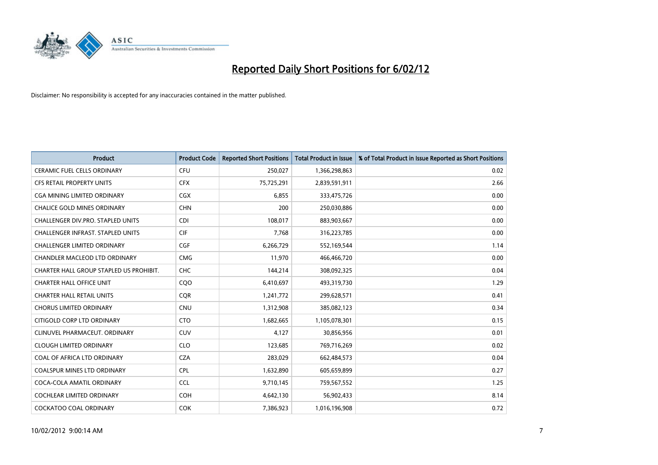

| <b>Product</b>                           | <b>Product Code</b> | <b>Reported Short Positions</b> | <b>Total Product in Issue</b> | % of Total Product in Issue Reported as Short Positions |
|------------------------------------------|---------------------|---------------------------------|-------------------------------|---------------------------------------------------------|
| <b>CERAMIC FUEL CELLS ORDINARY</b>       | <b>CFU</b>          | 250,027                         | 1,366,298,863                 | 0.02                                                    |
| CFS RETAIL PROPERTY UNITS                | <b>CFX</b>          | 75,725,291                      | 2,839,591,911                 | 2.66                                                    |
| <b>CGA MINING LIMITED ORDINARY</b>       | CGX                 | 6,855                           | 333,475,726                   | 0.00                                                    |
| CHALICE GOLD MINES ORDINARY              | <b>CHN</b>          | 200                             | 250,030,886                   | 0.00                                                    |
| CHALLENGER DIV.PRO. STAPLED UNITS        | <b>CDI</b>          | 108,017                         | 883,903,667                   | 0.00                                                    |
| <b>CHALLENGER INFRAST, STAPLED UNITS</b> | <b>CIF</b>          | 7,768                           | 316,223,785                   | 0.00                                                    |
| <b>CHALLENGER LIMITED ORDINARY</b>       | <b>CGF</b>          | 6,266,729                       | 552,169,544                   | 1.14                                                    |
| CHANDLER MACLEOD LTD ORDINARY            | <b>CMG</b>          | 11,970                          | 466,466,720                   | 0.00                                                    |
| CHARTER HALL GROUP STAPLED US PROHIBIT.  | <b>CHC</b>          | 144,214                         | 308,092,325                   | 0.04                                                    |
| <b>CHARTER HALL OFFICE UNIT</b>          | CQ <sub>O</sub>     | 6,410,697                       | 493,319,730                   | 1.29                                                    |
| <b>CHARTER HALL RETAIL UNITS</b>         | <b>CQR</b>          | 1,241,772                       | 299,628,571                   | 0.41                                                    |
| <b>CHORUS LIMITED ORDINARY</b>           | <b>CNU</b>          | 1,312,908                       | 385,082,123                   | 0.34                                                    |
| CITIGOLD CORP LTD ORDINARY               | <b>CTO</b>          | 1,682,665                       | 1,105,078,301                 | 0.15                                                    |
| CLINUVEL PHARMACEUT, ORDINARY            | <b>CUV</b>          | 4,127                           | 30,856,956                    | 0.01                                                    |
| <b>CLOUGH LIMITED ORDINARY</b>           | <b>CLO</b>          | 123,685                         | 769,716,269                   | 0.02                                                    |
| COAL OF AFRICA LTD ORDINARY              | <b>CZA</b>          | 283,029                         | 662,484,573                   | 0.04                                                    |
| COALSPUR MINES LTD ORDINARY              | <b>CPL</b>          | 1,632,890                       | 605,659,899                   | 0.27                                                    |
| COCA-COLA AMATIL ORDINARY                | <b>CCL</b>          | 9,710,145                       | 759,567,552                   | 1.25                                                    |
| <b>COCHLEAR LIMITED ORDINARY</b>         | <b>COH</b>          | 4,642,130                       | 56,902,433                    | 8.14                                                    |
| COCKATOO COAL ORDINARY                   | <b>COK</b>          | 7,386,923                       | 1,016,196,908                 | 0.72                                                    |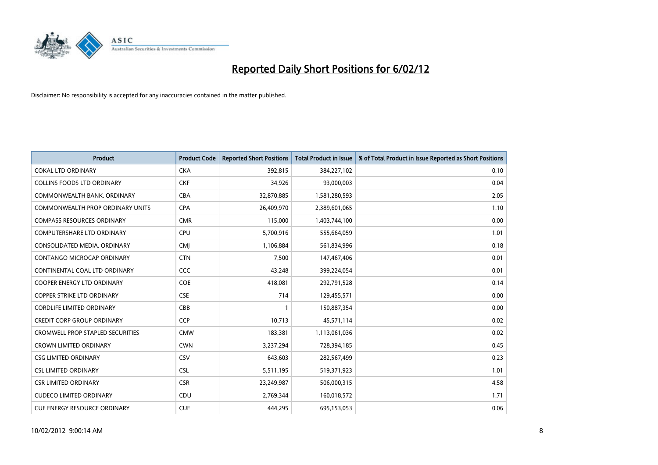

| <b>Product</b>                          | <b>Product Code</b> | <b>Reported Short Positions</b> | <b>Total Product in Issue</b> | % of Total Product in Issue Reported as Short Positions |
|-----------------------------------------|---------------------|---------------------------------|-------------------------------|---------------------------------------------------------|
| <b>COKAL LTD ORDINARY</b>               | <b>CKA</b>          | 392,815                         | 384,227,102                   | 0.10                                                    |
| COLLINS FOODS LTD ORDINARY              | <b>CKF</b>          | 34,926                          | 93,000,003                    | 0.04                                                    |
| COMMONWEALTH BANK, ORDINARY             | <b>CBA</b>          | 32,870,885                      | 1,581,280,593                 | 2.05                                                    |
| COMMONWEALTH PROP ORDINARY UNITS        | <b>CPA</b>          | 26,409,970                      | 2,389,601,065                 | 1.10                                                    |
| <b>COMPASS RESOURCES ORDINARY</b>       | <b>CMR</b>          | 115,000                         | 1,403,744,100                 | 0.00                                                    |
| <b>COMPUTERSHARE LTD ORDINARY</b>       | <b>CPU</b>          | 5,700,916                       | 555,664,059                   | 1.01                                                    |
| CONSOLIDATED MEDIA, ORDINARY            | <b>CMI</b>          | 1,106,884                       | 561,834,996                   | 0.18                                                    |
| CONTANGO MICROCAP ORDINARY              | <b>CTN</b>          | 7,500                           | 147,467,406                   | 0.01                                                    |
| CONTINENTAL COAL LTD ORDINARY           | <b>CCC</b>          | 43,248                          | 399,224,054                   | 0.01                                                    |
| <b>COOPER ENERGY LTD ORDINARY</b>       | <b>COE</b>          | 418,081                         | 292,791,528                   | 0.14                                                    |
| COPPER STRIKE LTD ORDINARY              | <b>CSE</b>          | 714                             | 129,455,571                   | 0.00                                                    |
| <b>CORDLIFE LIMITED ORDINARY</b>        | CBB                 | 1                               | 150,887,354                   | 0.00                                                    |
| <b>CREDIT CORP GROUP ORDINARY</b>       | <b>CCP</b>          | 10,713                          | 45,571,114                    | 0.02                                                    |
| <b>CROMWELL PROP STAPLED SECURITIES</b> | <b>CMW</b>          | 183,381                         | 1,113,061,036                 | 0.02                                                    |
| <b>CROWN LIMITED ORDINARY</b>           | <b>CWN</b>          | 3,237,294                       | 728,394,185                   | 0.45                                                    |
| <b>CSG LIMITED ORDINARY</b>             | CSV                 | 643,603                         | 282,567,499                   | 0.23                                                    |
| <b>CSL LIMITED ORDINARY</b>             | <b>CSL</b>          | 5,511,195                       | 519,371,923                   | 1.01                                                    |
| <b>CSR LIMITED ORDINARY</b>             | <b>CSR</b>          | 23,249,987                      | 506,000,315                   | 4.58                                                    |
| <b>CUDECO LIMITED ORDINARY</b>          | CDU                 | 2,769,344                       | 160,018,572                   | 1.71                                                    |
| CUE ENERGY RESOURCE ORDINARY            | <b>CUE</b>          | 444,295                         | 695,153,053                   | 0.06                                                    |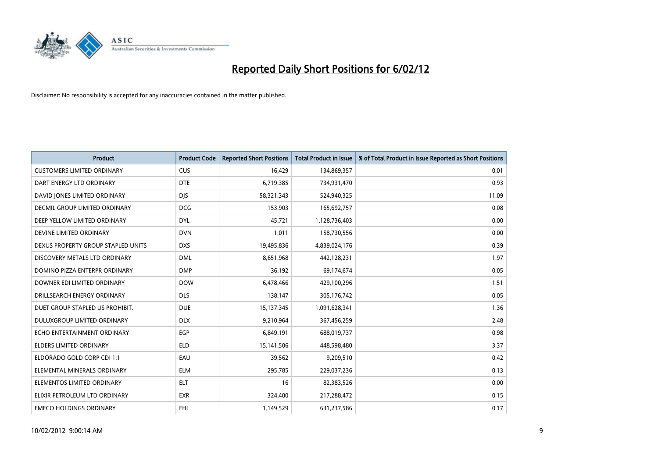

| <b>Product</b>                       | <b>Product Code</b> | <b>Reported Short Positions</b> | <b>Total Product in Issue</b> | % of Total Product in Issue Reported as Short Positions |
|--------------------------------------|---------------------|---------------------------------|-------------------------------|---------------------------------------------------------|
| <b>CUSTOMERS LIMITED ORDINARY</b>    | <b>CUS</b>          | 16,429                          | 134,869,357                   | 0.01                                                    |
| DART ENERGY LTD ORDINARY             | <b>DTE</b>          | 6,719,385                       | 734,931,470                   | 0.93                                                    |
| DAVID JONES LIMITED ORDINARY         | <b>DJS</b>          | 58,321,343                      | 524,940,325                   | 11.09                                                   |
| <b>DECMIL GROUP LIMITED ORDINARY</b> | <b>DCG</b>          | 153,903                         | 165,692,757                   | 0.08                                                    |
| DEEP YELLOW LIMITED ORDINARY         | <b>DYL</b>          | 45,721                          | 1,128,736,403                 | 0.00                                                    |
| DEVINE LIMITED ORDINARY              | <b>DVN</b>          | 1,011                           | 158,730,556                   | 0.00                                                    |
| DEXUS PROPERTY GROUP STAPLED UNITS   | <b>DXS</b>          | 19,495,836                      | 4,839,024,176                 | 0.39                                                    |
| DISCOVERY METALS LTD ORDINARY        | <b>DML</b>          | 8,651,968                       | 442,128,231                   | 1.97                                                    |
| DOMINO PIZZA ENTERPR ORDINARY        | <b>DMP</b>          | 36,192                          | 69,174,674                    | 0.05                                                    |
| DOWNER EDI LIMITED ORDINARY          | <b>DOW</b>          | 6,478,466                       | 429,100,296                   | 1.51                                                    |
| DRILLSEARCH ENERGY ORDINARY          | <b>DLS</b>          | 138,147                         | 305,176,742                   | 0.05                                                    |
| DUET GROUP STAPLED US PROHIBIT.      | <b>DUE</b>          | 15,137,345                      | 1,091,628,341                 | 1.36                                                    |
| DULUXGROUP LIMITED ORDINARY          | <b>DLX</b>          | 9,210,964                       | 367,456,259                   | 2.48                                                    |
| ECHO ENTERTAINMENT ORDINARY          | <b>EGP</b>          | 6,849,191                       | 688,019,737                   | 0.98                                                    |
| <b>ELDERS LIMITED ORDINARY</b>       | <b>ELD</b>          | 15,141,506                      | 448,598,480                   | 3.37                                                    |
| ELDORADO GOLD CORP CDI 1:1           | EAU                 | 39,562                          | 9,209,510                     | 0.42                                                    |
| ELEMENTAL MINERALS ORDINARY          | ELM                 | 295,785                         | 229,037,236                   | 0.13                                                    |
| ELEMENTOS LIMITED ORDINARY           | <b>ELT</b>          | 16                              | 82,383,526                    | 0.00                                                    |
| ELIXIR PETROLEUM LTD ORDINARY        | <b>EXR</b>          | 324,400                         | 217,288,472                   | 0.15                                                    |
| <b>EMECO HOLDINGS ORDINARY</b>       | EHL                 | 1,149,529                       | 631,237,586                   | 0.17                                                    |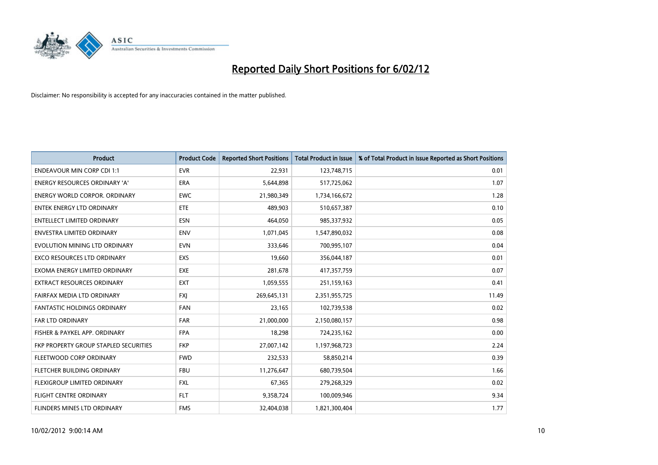

| <b>Product</b>                               | <b>Product Code</b> | <b>Reported Short Positions</b> | <b>Total Product in Issue</b> | % of Total Product in Issue Reported as Short Positions |
|----------------------------------------------|---------------------|---------------------------------|-------------------------------|---------------------------------------------------------|
| <b>ENDEAVOUR MIN CORP CDI 1:1</b>            | <b>EVR</b>          | 22,931                          | 123,748,715                   | 0.01                                                    |
| ENERGY RESOURCES ORDINARY 'A'                | ERA                 | 5,644,898                       | 517,725,062                   | 1.07                                                    |
| <b>ENERGY WORLD CORPOR, ORDINARY</b>         | <b>EWC</b>          | 21,980,349                      | 1,734,166,672                 | 1.28                                                    |
| <b>ENTEK ENERGY LTD ORDINARY</b>             | ETE                 | 489,903                         | 510,657,387                   | 0.10                                                    |
| <b>ENTELLECT LIMITED ORDINARY</b>            | <b>ESN</b>          | 464,050                         | 985,337,932                   | 0.05                                                    |
| <b>ENVESTRA LIMITED ORDINARY</b>             | <b>ENV</b>          | 1,071,045                       | 1,547,890,032                 | 0.08                                                    |
| EVOLUTION MINING LTD ORDINARY                | <b>EVN</b>          | 333,646                         | 700,995,107                   | 0.04                                                    |
| EXCO RESOURCES LTD ORDINARY                  | <b>EXS</b>          | 19,660                          | 356,044,187                   | 0.01                                                    |
| EXOMA ENERGY LIMITED ORDINARY                | <b>EXE</b>          | 281,678                         | 417,357,759                   | 0.07                                                    |
| <b>EXTRACT RESOURCES ORDINARY</b>            | <b>EXT</b>          | 1,059,555                       | 251,159,163                   | 0.41                                                    |
| FAIRFAX MEDIA LTD ORDINARY                   | <b>FXI</b>          | 269,645,131                     | 2,351,955,725                 | 11.49                                                   |
| <b>FANTASTIC HOLDINGS ORDINARY</b>           | <b>FAN</b>          | 23,165                          | 102,739,538                   | 0.02                                                    |
| FAR LTD ORDINARY                             | <b>FAR</b>          | 21,000,000                      | 2,150,080,157                 | 0.98                                                    |
| FISHER & PAYKEL APP. ORDINARY                | <b>FPA</b>          | 18,298                          | 724,235,162                   | 0.00                                                    |
| <b>FKP PROPERTY GROUP STAPLED SECURITIES</b> | <b>FKP</b>          | 27,007,142                      | 1,197,968,723                 | 2.24                                                    |
| FLEETWOOD CORP ORDINARY                      | <b>FWD</b>          | 232,533                         | 58,850,214                    | 0.39                                                    |
| FLETCHER BUILDING ORDINARY                   | <b>FBU</b>          | 11,276,647                      | 680,739,504                   | 1.66                                                    |
| FLEXIGROUP LIMITED ORDINARY                  | <b>FXL</b>          | 67,365                          | 279,268,329                   | 0.02                                                    |
| <b>FLIGHT CENTRE ORDINARY</b>                | <b>FLT</b>          | 9,358,724                       | 100,009,946                   | 9.34                                                    |
| FLINDERS MINES LTD ORDINARY                  | <b>FMS</b>          | 32,404,038                      | 1,821,300,404                 | 1.77                                                    |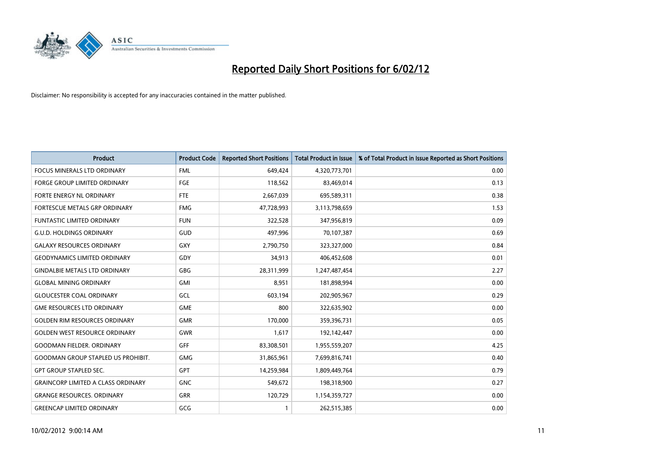

| <b>Product</b>                            | <b>Product Code</b> | <b>Reported Short Positions</b> | <b>Total Product in Issue</b> | % of Total Product in Issue Reported as Short Positions |
|-------------------------------------------|---------------------|---------------------------------|-------------------------------|---------------------------------------------------------|
| <b>FOCUS MINERALS LTD ORDINARY</b>        | <b>FML</b>          | 649,424                         | 4,320,773,701                 | 0.00                                                    |
| <b>FORGE GROUP LIMITED ORDINARY</b>       | FGE                 | 118,562                         | 83,469,014                    | 0.13                                                    |
| FORTE ENERGY NL ORDINARY                  | <b>FTE</b>          | 2,667,039                       | 695,589,311                   | 0.38                                                    |
| FORTESCUE METALS GRP ORDINARY             | <b>FMG</b>          | 47,728,993                      | 3,113,798,659                 | 1.53                                                    |
| <b>FUNTASTIC LIMITED ORDINARY</b>         | <b>FUN</b>          | 322,528                         | 347,956,819                   | 0.09                                                    |
| <b>G.U.D. HOLDINGS ORDINARY</b>           | <b>GUD</b>          | 497,996                         | 70,107,387                    | 0.69                                                    |
| <b>GALAXY RESOURCES ORDINARY</b>          | <b>GXY</b>          | 2,790,750                       | 323,327,000                   | 0.84                                                    |
| <b>GEODYNAMICS LIMITED ORDINARY</b>       | GDY                 | 34,913                          | 406,452,608                   | 0.01                                                    |
| <b>GINDALBIE METALS LTD ORDINARY</b>      | GBG                 | 28,311,999                      | 1,247,487,454                 | 2.27                                                    |
| <b>GLOBAL MINING ORDINARY</b>             | GMI                 | 8,951                           | 181,898,994                   | 0.00                                                    |
| <b>GLOUCESTER COAL ORDINARY</b>           | GCL                 | 603,194                         | 202,905,967                   | 0.29                                                    |
| <b>GME RESOURCES LTD ORDINARY</b>         | <b>GME</b>          | 800                             | 322,635,902                   | 0.00                                                    |
| <b>GOLDEN RIM RESOURCES ORDINARY</b>      | <b>GMR</b>          | 170,000                         | 359,396,731                   | 0.05                                                    |
| <b>GOLDEN WEST RESOURCE ORDINARY</b>      | GWR                 | 1,617                           | 192,142,447                   | 0.00                                                    |
| <b>GOODMAN FIELDER, ORDINARY</b>          | <b>GFF</b>          | 83,308,501                      | 1,955,559,207                 | 4.25                                                    |
| <b>GOODMAN GROUP STAPLED US PROHIBIT.</b> | <b>GMG</b>          | 31,865,961                      | 7,699,816,741                 | 0.40                                                    |
| <b>GPT GROUP STAPLED SEC.</b>             | <b>GPT</b>          | 14,259,984                      | 1,809,449,764                 | 0.79                                                    |
| <b>GRAINCORP LIMITED A CLASS ORDINARY</b> | <b>GNC</b>          | 549,672                         | 198,318,900                   | 0.27                                                    |
| <b>GRANGE RESOURCES, ORDINARY</b>         | GRR                 | 120,729                         | 1,154,359,727                 | 0.00                                                    |
| <b>GREENCAP LIMITED ORDINARY</b>          | GCG                 |                                 | 262,515,385                   | 0.00                                                    |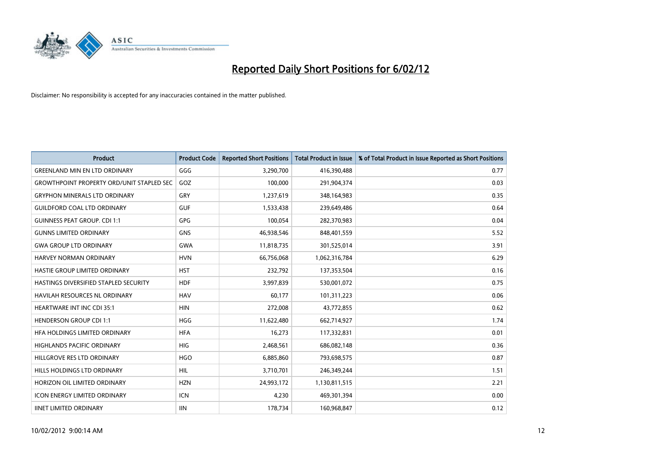

| <b>Product</b>                                   | <b>Product Code</b> | <b>Reported Short Positions</b> | <b>Total Product in Issue</b> | % of Total Product in Issue Reported as Short Positions |
|--------------------------------------------------|---------------------|---------------------------------|-------------------------------|---------------------------------------------------------|
| <b>GREENLAND MIN EN LTD ORDINARY</b>             | GGG                 | 3,290,700                       | 416,390,488                   | 0.77                                                    |
| <b>GROWTHPOINT PROPERTY ORD/UNIT STAPLED SEC</b> | GOZ                 | 100,000                         | 291,904,374                   | 0.03                                                    |
| <b>GRYPHON MINERALS LTD ORDINARY</b>             | GRY                 | 1,237,619                       | 348,164,983                   | 0.35                                                    |
| <b>GUILDFORD COAL LTD ORDINARY</b>               | <b>GUF</b>          | 1,533,438                       | 239,649,486                   | 0.64                                                    |
| <b>GUINNESS PEAT GROUP. CDI 1:1</b>              | GPG                 | 100,054                         | 282,370,983                   | 0.04                                                    |
| <b>GUNNS LIMITED ORDINARY</b>                    | GNS                 | 46,938,546                      | 848,401,559                   | 5.52                                                    |
| <b>GWA GROUP LTD ORDINARY</b>                    | <b>GWA</b>          | 11,818,735                      | 301,525,014                   | 3.91                                                    |
| HARVEY NORMAN ORDINARY                           | <b>HVN</b>          | 66,756,068                      | 1,062,316,784                 | 6.29                                                    |
| HASTIE GROUP LIMITED ORDINARY                    | <b>HST</b>          | 232,792                         | 137,353,504                   | 0.16                                                    |
| HASTINGS DIVERSIFIED STAPLED SECURITY            | <b>HDF</b>          | 3,997,839                       | 530,001,072                   | 0.75                                                    |
| <b>HAVILAH RESOURCES NL ORDINARY</b>             | <b>HAV</b>          | 60,177                          | 101,311,223                   | 0.06                                                    |
| HEARTWARE INT INC CDI 35:1                       | <b>HIN</b>          | 272,008                         | 43,772,855                    | 0.62                                                    |
| <b>HENDERSON GROUP CDI 1:1</b>                   | <b>HGG</b>          | 11,622,480                      | 662,714,927                   | 1.74                                                    |
| HFA HOLDINGS LIMITED ORDINARY                    | <b>HFA</b>          | 16,273                          | 117,332,831                   | 0.01                                                    |
| <b>HIGHLANDS PACIFIC ORDINARY</b>                | <b>HIG</b>          | 2,468,561                       | 686,082,148                   | 0.36                                                    |
| HILLGROVE RES LTD ORDINARY                       | <b>HGO</b>          | 6,885,860                       | 793,698,575                   | 0.87                                                    |
| HILLS HOLDINGS LTD ORDINARY                      | HIL                 | 3,710,701                       | 246,349,244                   | 1.51                                                    |
| HORIZON OIL LIMITED ORDINARY                     | <b>HZN</b>          | 24,993,172                      | 1,130,811,515                 | 2.21                                                    |
| <b>ICON ENERGY LIMITED ORDINARY</b>              | <b>ICN</b>          | 4,230                           | 469,301,394                   | 0.00                                                    |
| <b>IINET LIMITED ORDINARY</b>                    | <b>IIN</b>          | 178,734                         | 160,968,847                   | 0.12                                                    |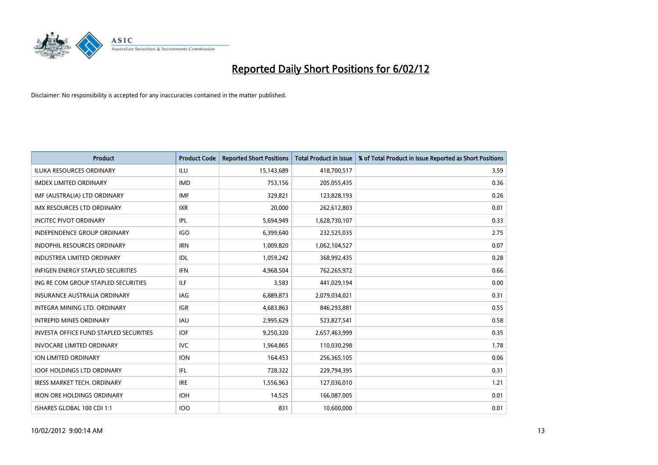

| <b>Product</b>                                | <b>Product Code</b> | <b>Reported Short Positions</b> | <b>Total Product in Issue</b> | % of Total Product in Issue Reported as Short Positions |
|-----------------------------------------------|---------------------|---------------------------------|-------------------------------|---------------------------------------------------------|
| <b>ILUKA RESOURCES ORDINARY</b>               | ILU                 | 15,143,689                      | 418,700,517                   | 3.59                                                    |
| <b>IMDEX LIMITED ORDINARY</b>                 | <b>IMD</b>          | 753,156                         | 205,055,435                   | 0.36                                                    |
| IMF (AUSTRALIA) LTD ORDINARY                  | <b>IMF</b>          | 329,821                         | 123,828,193                   | 0.26                                                    |
| <b>IMX RESOURCES LTD ORDINARY</b>             | <b>IXR</b>          | 20,000                          | 262,612,803                   | 0.01                                                    |
| <b>INCITEC PIVOT ORDINARY</b>                 | IPL                 | 5,694,949                       | 1,628,730,107                 | 0.33                                                    |
| <b>INDEPENDENCE GROUP ORDINARY</b>            | <b>IGO</b>          | 6,399,640                       | 232,525,035                   | 2.75                                                    |
| <b>INDOPHIL RESOURCES ORDINARY</b>            | <b>IRN</b>          | 1,009,820                       | 1,062,104,527                 | 0.07                                                    |
| <b>INDUSTREA LIMITED ORDINARY</b>             | IDL                 | 1,059,242                       | 368,992,435                   | 0.28                                                    |
| <b>INFIGEN ENERGY STAPLED SECURITIES</b>      | <b>IFN</b>          | 4,968,504                       | 762,265,972                   | 0.66                                                    |
| ING RE COM GROUP STAPLED SECURITIES           | ILF.                | 3,583                           | 441,029,194                   | 0.00                                                    |
| INSURANCE AUSTRALIA ORDINARY                  | IAG                 | 6,889,873                       | 2,079,034,021                 | 0.31                                                    |
| INTEGRA MINING LTD, ORDINARY                  | <b>IGR</b>          | 4,683,863                       | 846,293,881                   | 0.55                                                    |
| <b>INTREPID MINES ORDINARY</b>                | <b>IAU</b>          | 2,995,629                       | 523,827,541                   | 0.58                                                    |
| <b>INVESTA OFFICE FUND STAPLED SECURITIES</b> | <b>IOF</b>          | 9,250,320                       | 2,657,463,999                 | 0.35                                                    |
| <b>INVOCARE LIMITED ORDINARY</b>              | <b>IVC</b>          | 1,964,865                       | 110,030,298                   | 1.78                                                    |
| ION LIMITED ORDINARY                          | <b>ION</b>          | 164,453                         | 256,365,105                   | 0.06                                                    |
| <b>IOOF HOLDINGS LTD ORDINARY</b>             | IFL                 | 728,322                         | 229,794,395                   | 0.31                                                    |
| <b>IRESS MARKET TECH. ORDINARY</b>            | <b>IRE</b>          | 1,556,963                       | 127,036,010                   | 1.21                                                    |
| <b>IRON ORE HOLDINGS ORDINARY</b>             | <b>IOH</b>          | 14,525                          | 166,087,005                   | 0.01                                                    |
| ISHARES GLOBAL 100 CDI 1:1                    | <b>IOO</b>          | 831                             | 10,600,000                    | 0.01                                                    |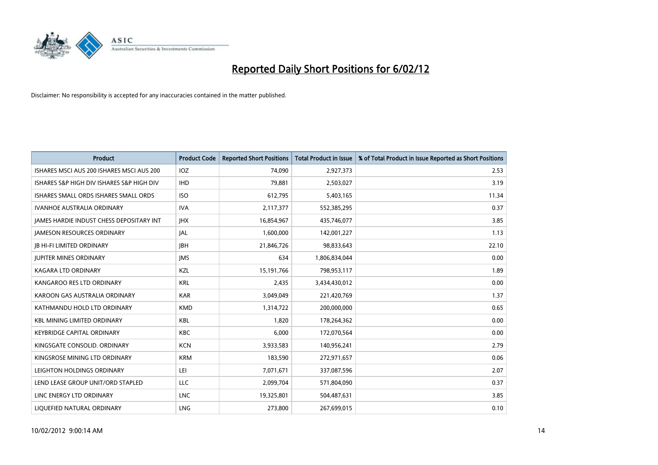

| <b>Product</b>                            | <b>Product Code</b> | <b>Reported Short Positions</b> | <b>Total Product in Issue</b> | % of Total Product in Issue Reported as Short Positions |
|-------------------------------------------|---------------------|---------------------------------|-------------------------------|---------------------------------------------------------|
| ISHARES MSCI AUS 200 ISHARES MSCI AUS 200 | <b>IOZ</b>          | 74,090                          | 2,927,373                     | 2.53                                                    |
| ISHARES S&P HIGH DIV ISHARES S&P HIGH DIV | <b>IHD</b>          | 79,881                          | 2,503,027                     | 3.19                                                    |
| ISHARES SMALL ORDS ISHARES SMALL ORDS     | <b>ISO</b>          | 612,795                         | 5,403,165                     | 11.34                                                   |
| <b>IVANHOE AUSTRALIA ORDINARY</b>         | <b>IVA</b>          | 2,117,377                       | 552,385,295                   | 0.37                                                    |
| JAMES HARDIE INDUST CHESS DEPOSITARY INT  | <b>IHX</b>          | 16,854,967                      | 435,746,077                   | 3.85                                                    |
| <b>JAMESON RESOURCES ORDINARY</b>         | JAL                 | 1,600,000                       | 142,001,227                   | 1.13                                                    |
| <b>JB HI-FI LIMITED ORDINARY</b>          | <b>JBH</b>          | 21,846,726                      | 98,833,643                    | 22.10                                                   |
| <b>JUPITER MINES ORDINARY</b>             | <b>IMS</b>          | 634                             | 1,806,834,044                 | 0.00                                                    |
| <b>KAGARA LTD ORDINARY</b>                | KZL                 | 15,191,766                      | 798,953,117                   | 1.89                                                    |
| KANGAROO RES LTD ORDINARY                 | <b>KRL</b>          | 2,435                           | 3,434,430,012                 | 0.00                                                    |
| KAROON GAS AUSTRALIA ORDINARY             | <b>KAR</b>          | 3,049,049                       | 221,420,769                   | 1.37                                                    |
| KATHMANDU HOLD LTD ORDINARY               | <b>KMD</b>          | 1,314,722                       | 200,000,000                   | 0.65                                                    |
| <b>KBL MINING LIMITED ORDINARY</b>        | <b>KBL</b>          | 1,820                           | 178,264,362                   | 0.00                                                    |
| <b>KEYBRIDGE CAPITAL ORDINARY</b>         | <b>KBC</b>          | 6,000                           | 172,070,564                   | 0.00                                                    |
| KINGSGATE CONSOLID. ORDINARY              | <b>KCN</b>          | 3,933,583                       | 140,956,241                   | 2.79                                                    |
| KINGSROSE MINING LTD ORDINARY             | <b>KRM</b>          | 183,590                         | 272,971,657                   | 0.06                                                    |
| LEIGHTON HOLDINGS ORDINARY                | LEI                 | 7,071,671                       | 337,087,596                   | 2.07                                                    |
| LEND LEASE GROUP UNIT/ORD STAPLED         | <b>LLC</b>          | 2,099,704                       | 571,804,090                   | 0.37                                                    |
| LINC ENERGY LTD ORDINARY                  | <b>LNC</b>          | 19,325,801                      | 504,487,631                   | 3.85                                                    |
| LIQUEFIED NATURAL ORDINARY                | <b>LNG</b>          | 273,800                         | 267,699,015                   | 0.10                                                    |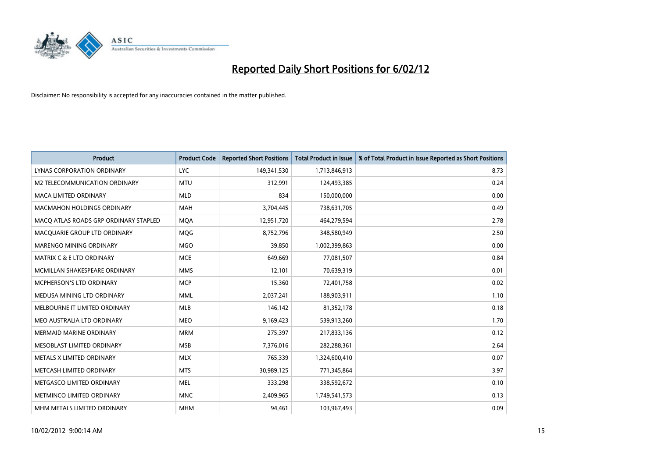

| <b>Product</b>                        | <b>Product Code</b> | <b>Reported Short Positions</b> | <b>Total Product in Issue</b> | % of Total Product in Issue Reported as Short Positions |
|---------------------------------------|---------------------|---------------------------------|-------------------------------|---------------------------------------------------------|
| LYNAS CORPORATION ORDINARY            | <b>LYC</b>          | 149,341,530                     | 1,713,846,913                 | 8.73                                                    |
| M2 TELECOMMUNICATION ORDINARY         | <b>MTU</b>          | 312,991                         | 124,493,385                   | 0.24                                                    |
| <b>MACA LIMITED ORDINARY</b>          | <b>MLD</b>          | 834                             | 150,000,000                   | 0.00                                                    |
| <b>MACMAHON HOLDINGS ORDINARY</b>     | <b>MAH</b>          | 3,704,445                       | 738,631,705                   | 0.49                                                    |
| MACO ATLAS ROADS GRP ORDINARY STAPLED | <b>MOA</b>          | 12,951,720                      | 464,279,594                   | 2.78                                                    |
| MACQUARIE GROUP LTD ORDINARY          | <b>MQG</b>          | 8,752,796                       | 348,580,949                   | 2.50                                                    |
| <b>MARENGO MINING ORDINARY</b>        | <b>MGO</b>          | 39,850                          | 1,002,399,863                 | 0.00                                                    |
| <b>MATRIX C &amp; E LTD ORDINARY</b>  | <b>MCE</b>          | 649,669                         | 77,081,507                    | 0.84                                                    |
| MCMILLAN SHAKESPEARE ORDINARY         | <b>MMS</b>          | 12,101                          | 70,639,319                    | 0.01                                                    |
| MCPHERSON'S LTD ORDINARY              | <b>MCP</b>          | 15,360                          | 72,401,758                    | 0.02                                                    |
| MEDUSA MINING LTD ORDINARY            | <b>MML</b>          | 2,037,241                       | 188,903,911                   | 1.10                                                    |
| MELBOURNE IT LIMITED ORDINARY         | <b>MLB</b>          | 146,142                         | 81,352,178                    | 0.18                                                    |
| MEO AUSTRALIA LTD ORDINARY            | <b>MEO</b>          | 9,169,423                       | 539,913,260                   | 1.70                                                    |
| <b>MERMAID MARINE ORDINARY</b>        | <b>MRM</b>          | 275,397                         | 217,833,136                   | 0.12                                                    |
| MESOBLAST LIMITED ORDINARY            | <b>MSB</b>          | 7,376,016                       | 282,288,361                   | 2.64                                                    |
| METALS X LIMITED ORDINARY             | <b>MLX</b>          | 765,339                         | 1,324,600,410                 | 0.07                                                    |
| METCASH LIMITED ORDINARY              | <b>MTS</b>          | 30,989,125                      | 771,345,864                   | 3.97                                                    |
| METGASCO LIMITED ORDINARY             | <b>MEL</b>          | 333,298                         | 338,592,672                   | 0.10                                                    |
| METMINCO LIMITED ORDINARY             | <b>MNC</b>          | 2,409,965                       | 1,749,541,573                 | 0.13                                                    |
| MHM METALS LIMITED ORDINARY           | <b>MHM</b>          | 94,461                          | 103,967,493                   | 0.09                                                    |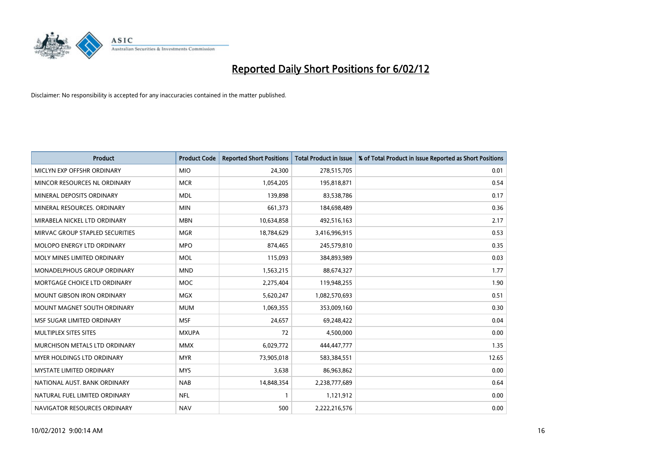

| <b>Product</b>                    | <b>Product Code</b> | <b>Reported Short Positions</b> | <b>Total Product in Issue</b> | % of Total Product in Issue Reported as Short Positions |
|-----------------------------------|---------------------|---------------------------------|-------------------------------|---------------------------------------------------------|
| MICLYN EXP OFFSHR ORDINARY        | <b>MIO</b>          | 24,300                          | 278,515,705                   | 0.01                                                    |
| MINCOR RESOURCES NL ORDINARY      | <b>MCR</b>          | 1,054,205                       | 195,818,871                   | 0.54                                                    |
| MINERAL DEPOSITS ORDINARY         | <b>MDL</b>          | 139,898                         | 83,538,786                    | 0.17                                                    |
| MINERAL RESOURCES. ORDINARY       | <b>MIN</b>          | 661,373                         | 184,698,489                   | 0.36                                                    |
| MIRABELA NICKEL LTD ORDINARY      | <b>MBN</b>          | 10,634,858                      | 492,516,163                   | 2.17                                                    |
| MIRVAC GROUP STAPLED SECURITIES   | <b>MGR</b>          | 18,784,629                      | 3,416,996,915                 | 0.53                                                    |
| MOLOPO ENERGY LTD ORDINARY        | <b>MPO</b>          | 874,465                         | 245,579,810                   | 0.35                                                    |
| MOLY MINES LIMITED ORDINARY       | MOL                 | 115,093                         | 384,893,989                   | 0.03                                                    |
| MONADELPHOUS GROUP ORDINARY       | <b>MND</b>          | 1,563,215                       | 88,674,327                    | 1.77                                                    |
| MORTGAGE CHOICE LTD ORDINARY      | <b>MOC</b>          | 2,275,404                       | 119,948,255                   | 1.90                                                    |
| <b>MOUNT GIBSON IRON ORDINARY</b> | <b>MGX</b>          | 5,620,247                       | 1,082,570,693                 | 0.51                                                    |
| MOUNT MAGNET SOUTH ORDINARY       | <b>MUM</b>          | 1,069,355                       | 353,009,160                   | 0.30                                                    |
| MSF SUGAR LIMITED ORDINARY        | <b>MSF</b>          | 24,657                          | 69,248,422                    | 0.04                                                    |
| MULTIPLEX SITES SITES             | <b>MXUPA</b>        | 72                              | 4,500,000                     | 0.00                                                    |
| MURCHISON METALS LTD ORDINARY     | <b>MMX</b>          | 6,029,772                       | 444,447,777                   | 1.35                                                    |
| MYER HOLDINGS LTD ORDINARY        | <b>MYR</b>          | 73,905,018                      | 583,384,551                   | 12.65                                                   |
| <b>MYSTATE LIMITED ORDINARY</b>   | <b>MYS</b>          | 3,638                           | 86,963,862                    | 0.00                                                    |
| NATIONAL AUST, BANK ORDINARY      | <b>NAB</b>          | 14,848,354                      | 2,238,777,689                 | 0.64                                                    |
| NATURAL FUEL LIMITED ORDINARY     | <b>NFL</b>          | $\mathbf{1}$                    | 1,121,912                     | 0.00                                                    |
| NAVIGATOR RESOURCES ORDINARY      | <b>NAV</b>          | 500                             | 2,222,216,576                 | 0.00                                                    |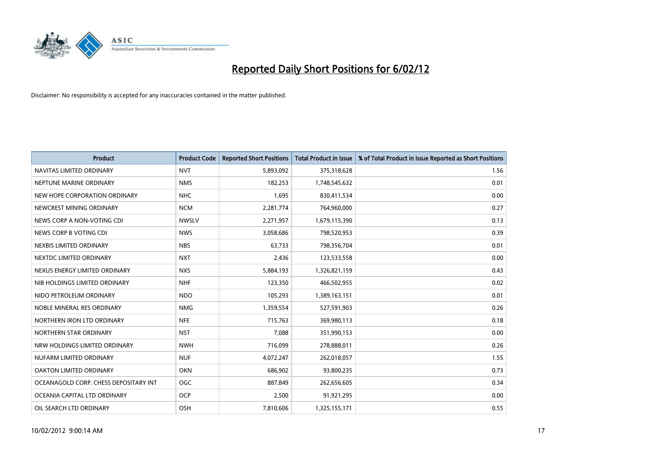

| <b>Product</b>                        | <b>Product Code</b> | <b>Reported Short Positions</b> | <b>Total Product in Issue</b> | % of Total Product in Issue Reported as Short Positions |
|---------------------------------------|---------------------|---------------------------------|-------------------------------|---------------------------------------------------------|
| NAVITAS LIMITED ORDINARY              | <b>NVT</b>          | 5,893,092                       | 375,318,628                   | 1.56                                                    |
| NEPTUNE MARINE ORDINARY               | <b>NMS</b>          | 182,253                         | 1,748,545,632                 | 0.01                                                    |
| NEW HOPE CORPORATION ORDINARY         | <b>NHC</b>          | 1,695                           | 830,411,534                   | 0.00                                                    |
| NEWCREST MINING ORDINARY              | <b>NCM</b>          | 2,281,774                       | 764,960,000                   | 0.27                                                    |
| NEWS CORP A NON-VOTING CDI            | <b>NWSLV</b>        | 2,271,957                       | 1,679,115,390                 | 0.13                                                    |
| NEWS CORP B VOTING CDI                | <b>NWS</b>          | 3,058,686                       | 798,520,953                   | 0.39                                                    |
| NEXBIS LIMITED ORDINARY               | <b>NBS</b>          | 63,733                          | 798,356,704                   | 0.01                                                    |
| NEXTDC LIMITED ORDINARY               | <b>NXT</b>          | 2,436                           | 123,533,558                   | 0.00                                                    |
| NEXUS ENERGY LIMITED ORDINARY         | <b>NXS</b>          | 5,884,193                       | 1,326,821,159                 | 0.43                                                    |
| NIB HOLDINGS LIMITED ORDINARY         | <b>NHF</b>          | 123,350                         | 466,502,955                   | 0.02                                                    |
| NIDO PETROLEUM ORDINARY               | <b>NDO</b>          | 105,293                         | 1,389,163,151                 | 0.01                                                    |
| NOBLE MINERAL RES ORDINARY            | <b>NMG</b>          | 1,359,554                       | 527,591,903                   | 0.26                                                    |
| NORTHERN IRON LTD ORDINARY            | <b>NFE</b>          | 715,763                         | 369,980,113                   | 0.18                                                    |
| NORTHERN STAR ORDINARY                | <b>NST</b>          | 7,088                           | 351,990,153                   | 0.00                                                    |
| NRW HOLDINGS LIMITED ORDINARY         | <b>NWH</b>          | 716,099                         | 278,888,011                   | 0.26                                                    |
| NUFARM LIMITED ORDINARY               | <b>NUF</b>          | 4,072,247                       | 262,018,057                   | 1.55                                                    |
| OAKTON LIMITED ORDINARY               | <b>OKN</b>          | 686,902                         | 93,800,235                    | 0.73                                                    |
| OCEANAGOLD CORP. CHESS DEPOSITARY INT | <b>OGC</b>          | 887,849                         | 262,656,605                   | 0.34                                                    |
| OCEANIA CAPITAL LTD ORDINARY          | <b>OCP</b>          | 2,500                           | 91,921,295                    | 0.00                                                    |
| OIL SEARCH LTD ORDINARY               | OSH                 | 7,810,606                       | 1,325,155,171                 | 0.55                                                    |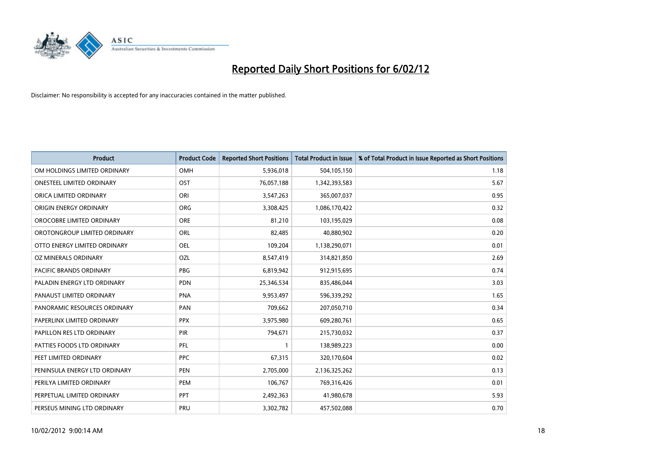

| <b>Product</b>                 | <b>Product Code</b> | <b>Reported Short Positions</b> | <b>Total Product in Issue</b> | % of Total Product in Issue Reported as Short Positions |
|--------------------------------|---------------------|---------------------------------|-------------------------------|---------------------------------------------------------|
| OM HOLDINGS LIMITED ORDINARY   | OMH                 | 5,936,018                       | 504,105,150                   | 1.18                                                    |
| ONESTEEL LIMITED ORDINARY      | OST                 | 76,057,188                      | 1,342,393,583                 | 5.67                                                    |
| ORICA LIMITED ORDINARY         | ORI                 | 3,547,263                       | 365,007,037                   | 0.95                                                    |
| ORIGIN ENERGY ORDINARY         | <b>ORG</b>          | 3,308,425                       | 1,086,170,422                 | 0.32                                                    |
| OROCOBRE LIMITED ORDINARY      | <b>ORE</b>          | 81,210                          | 103,195,029                   | 0.08                                                    |
| OROTONGROUP LIMITED ORDINARY   | ORL                 | 82,485                          | 40,880,902                    | 0.20                                                    |
| OTTO ENERGY LIMITED ORDINARY   | OEL                 | 109,204                         | 1,138,290,071                 | 0.01                                                    |
| OZ MINERALS ORDINARY           | OZL                 | 8,547,419                       | 314,821,850                   | 2.69                                                    |
| <b>PACIFIC BRANDS ORDINARY</b> | <b>PBG</b>          | 6,819,942                       | 912,915,695                   | 0.74                                                    |
| PALADIN ENERGY LTD ORDINARY    | <b>PDN</b>          | 25,346,534                      | 835,486,044                   | 3.03                                                    |
| PANAUST LIMITED ORDINARY       | <b>PNA</b>          | 9,953,497                       | 596,339,292                   | 1.65                                                    |
| PANORAMIC RESOURCES ORDINARY   | PAN                 | 709,662                         | 207,050,710                   | 0.34                                                    |
| PAPERLINX LIMITED ORDINARY     | <b>PPX</b>          | 3,975,980                       | 609,280,761                   | 0.65                                                    |
| PAPILLON RES LTD ORDINARY      | PIR                 | 794,671                         | 215,730,032                   | 0.37                                                    |
| PATTIES FOODS LTD ORDINARY     | PFL                 | 1                               | 138,989,223                   | 0.00                                                    |
| PEET LIMITED ORDINARY          | <b>PPC</b>          | 67,315                          | 320,170,604                   | 0.02                                                    |
| PENINSULA ENERGY LTD ORDINARY  | PEN                 | 2,705,000                       | 2,136,325,262                 | 0.13                                                    |
| PERILYA LIMITED ORDINARY       | <b>PEM</b>          | 106,767                         | 769,316,426                   | 0.01                                                    |
| PERPETUAL LIMITED ORDINARY     | <b>PPT</b>          | 2,492,363                       | 41,980,678                    | 5.93                                                    |
| PERSEUS MINING LTD ORDINARY    | PRU                 | 3,302,782                       | 457,502,088                   | 0.70                                                    |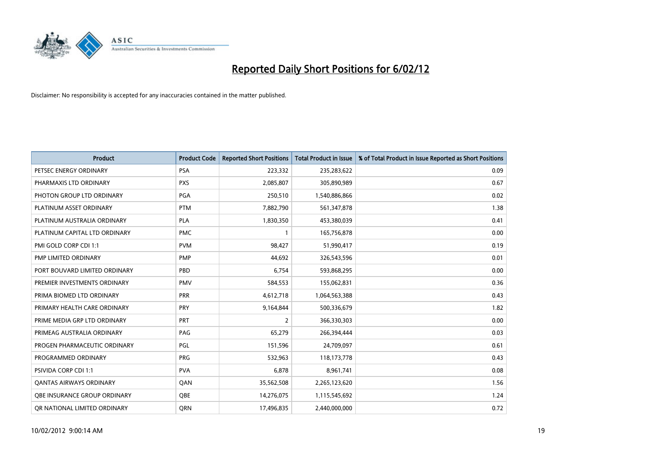

| <b>Product</b>                 | <b>Product Code</b> | <b>Reported Short Positions</b> | <b>Total Product in Issue</b> | % of Total Product in Issue Reported as Short Positions |
|--------------------------------|---------------------|---------------------------------|-------------------------------|---------------------------------------------------------|
| PETSEC ENERGY ORDINARY         | <b>PSA</b>          | 223,332                         | 235,283,622                   | 0.09                                                    |
| PHARMAXIS LTD ORDINARY         | <b>PXS</b>          | 2,085,807                       | 305,890,989                   | 0.67                                                    |
| PHOTON GROUP LTD ORDINARY      | PGA                 | 250,510                         | 1,540,886,866                 | 0.02                                                    |
| PLATINUM ASSET ORDINARY        | <b>PTM</b>          | 7,882,790                       | 561,347,878                   | 1.38                                                    |
| PLATINUM AUSTRALIA ORDINARY    | <b>PLA</b>          | 1,830,350                       | 453,380,039                   | 0.41                                                    |
| PLATINUM CAPITAL LTD ORDINARY  | <b>PMC</b>          | $\mathbf{1}$                    | 165,756,878                   | 0.00                                                    |
| PMI GOLD CORP CDI 1:1          | <b>PVM</b>          | 98,427                          | 51,990,417                    | 0.19                                                    |
| PMP LIMITED ORDINARY           | <b>PMP</b>          | 44,692                          | 326,543,596                   | 0.01                                                    |
| PORT BOUVARD LIMITED ORDINARY  | PBD                 | 6,754                           | 593,868,295                   | 0.00                                                    |
| PREMIER INVESTMENTS ORDINARY   | <b>PMV</b>          | 584,553                         | 155,062,831                   | 0.36                                                    |
| PRIMA BIOMED LTD ORDINARY      | <b>PRR</b>          | 4,612,718                       | 1,064,563,388                 | 0.43                                                    |
| PRIMARY HEALTH CARE ORDINARY   | <b>PRY</b>          | 9,164,844                       | 500,336,679                   | 1.82                                                    |
| PRIME MEDIA GRP LTD ORDINARY   | <b>PRT</b>          | $\overline{2}$                  | 366,330,303                   | 0.00                                                    |
| PRIMEAG AUSTRALIA ORDINARY     | PAG                 | 65,279                          | 266,394,444                   | 0.03                                                    |
| PROGEN PHARMACEUTIC ORDINARY   | PGL                 | 151,596                         | 24,709,097                    | 0.61                                                    |
| PROGRAMMED ORDINARY            | <b>PRG</b>          | 532,963                         | 118,173,778                   | 0.43                                                    |
| PSIVIDA CORP CDI 1:1           | <b>PVA</b>          | 6,878                           | 8,961,741                     | 0.08                                                    |
| <b>QANTAS AIRWAYS ORDINARY</b> | QAN                 | 35,562,508                      | 2,265,123,620                 | 1.56                                                    |
| OBE INSURANCE GROUP ORDINARY   | <b>OBE</b>          | 14,276,075                      | 1,115,545,692                 | 1.24                                                    |
| OR NATIONAL LIMITED ORDINARY   | <b>ORN</b>          | 17,496,835                      | 2,440,000,000                 | 0.72                                                    |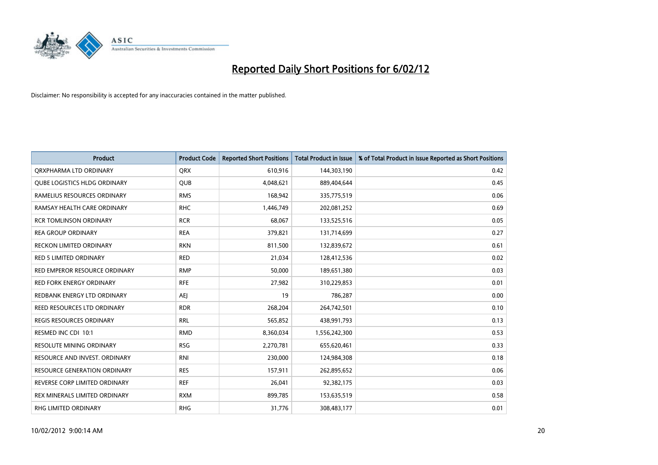

| <b>Product</b>                  | <b>Product Code</b> | <b>Reported Short Positions</b> | <b>Total Product in Issue</b> | % of Total Product in Issue Reported as Short Positions |
|---------------------------------|---------------------|---------------------------------|-------------------------------|---------------------------------------------------------|
| ORXPHARMA LTD ORDINARY          | <b>ORX</b>          | 610,916                         | 144,303,190                   | 0.42                                                    |
| QUBE LOGISTICS HLDG ORDINARY    | QUB                 | 4,048,621                       | 889,404,644                   | 0.45                                                    |
| RAMELIUS RESOURCES ORDINARY     | <b>RMS</b>          | 168,942                         | 335,775,519                   | 0.06                                                    |
| RAMSAY HEALTH CARE ORDINARY     | <b>RHC</b>          | 1,446,749                       | 202,081,252                   | 0.69                                                    |
| <b>RCR TOMLINSON ORDINARY</b>   | <b>RCR</b>          | 68,067                          | 133,525,516                   | 0.05                                                    |
| <b>REA GROUP ORDINARY</b>       | <b>REA</b>          | 379,821                         | 131,714,699                   | 0.27                                                    |
| <b>RECKON LIMITED ORDINARY</b>  | <b>RKN</b>          | 811,500                         | 132,839,672                   | 0.61                                                    |
| RED 5 LIMITED ORDINARY          | <b>RED</b>          | 21,034                          | 128,412,536                   | 0.02                                                    |
| RED EMPEROR RESOURCE ORDINARY   | <b>RMP</b>          | 50,000                          | 189,651,380                   | 0.03                                                    |
| <b>RED FORK ENERGY ORDINARY</b> | <b>RFE</b>          | 27,982                          | 310,229,853                   | 0.01                                                    |
| REDBANK ENERGY LTD ORDINARY     | AEJ                 | 19                              | 786,287                       | 0.00                                                    |
| REED RESOURCES LTD ORDINARY     | <b>RDR</b>          | 268,204                         | 264,742,501                   | 0.10                                                    |
| <b>REGIS RESOURCES ORDINARY</b> | <b>RRL</b>          | 565,852                         | 438,991,793                   | 0.13                                                    |
| RESMED INC CDI 10:1             | <b>RMD</b>          | 8,360,034                       | 1,556,242,300                 | 0.53                                                    |
| <b>RESOLUTE MINING ORDINARY</b> | <b>RSG</b>          | 2,270,781                       | 655,620,461                   | 0.33                                                    |
| RESOURCE AND INVEST. ORDINARY   | <b>RNI</b>          | 230,000                         | 124,984,308                   | 0.18                                                    |
| RESOURCE GENERATION ORDINARY    | <b>RES</b>          | 157,911                         | 262,895,652                   | 0.06                                                    |
| REVERSE CORP LIMITED ORDINARY   | <b>REF</b>          | 26,041                          | 92,382,175                    | 0.03                                                    |
| REX MINERALS LIMITED ORDINARY   | <b>RXM</b>          | 899,785                         | 153,635,519                   | 0.58                                                    |
| <b>RHG LIMITED ORDINARY</b>     | <b>RHG</b>          | 31,776                          | 308,483,177                   | 0.01                                                    |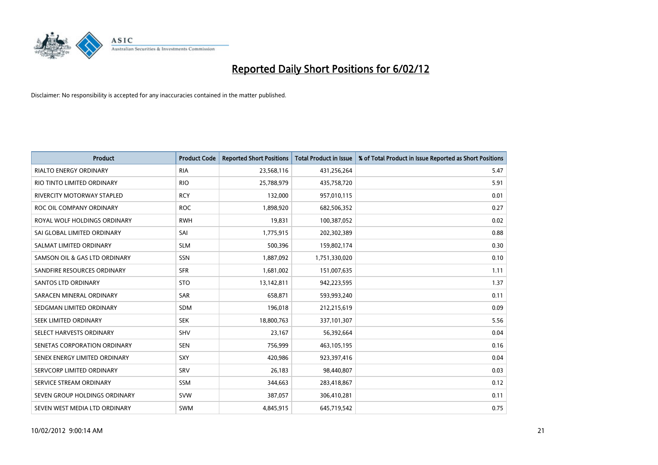

| <b>Product</b>                    | <b>Product Code</b> | <b>Reported Short Positions</b> | <b>Total Product in Issue</b> | % of Total Product in Issue Reported as Short Positions |
|-----------------------------------|---------------------|---------------------------------|-------------------------------|---------------------------------------------------------|
| <b>RIALTO ENERGY ORDINARY</b>     | <b>RIA</b>          | 23,568,116                      | 431,256,264                   | 5.47                                                    |
| RIO TINTO LIMITED ORDINARY        | <b>RIO</b>          | 25,788,979                      | 435,758,720                   | 5.91                                                    |
| <b>RIVERCITY MOTORWAY STAPLED</b> | <b>RCY</b>          | 132,000                         | 957,010,115                   | 0.01                                                    |
| ROC OIL COMPANY ORDINARY          | <b>ROC</b>          | 1,898,920                       | 682,506,352                   | 0.27                                                    |
| ROYAL WOLF HOLDINGS ORDINARY      | <b>RWH</b>          | 19,831                          | 100,387,052                   | 0.02                                                    |
| SAI GLOBAL LIMITED ORDINARY       | SAI                 | 1,775,915                       | 202,302,389                   | 0.88                                                    |
| SALMAT LIMITED ORDINARY           | <b>SLM</b>          | 500,396                         | 159,802,174                   | 0.30                                                    |
| SAMSON OIL & GAS LTD ORDINARY     | SSN                 | 1,887,092                       | 1,751,330,020                 | 0.10                                                    |
| SANDFIRE RESOURCES ORDINARY       | <b>SFR</b>          | 1,681,002                       | 151,007,635                   | 1.11                                                    |
| SANTOS LTD ORDINARY               | <b>STO</b>          | 13,142,811                      | 942,223,595                   | 1.37                                                    |
| SARACEN MINERAL ORDINARY          | SAR                 | 658,871                         | 593,993,240                   | 0.11                                                    |
| SEDGMAN LIMITED ORDINARY          | SDM                 | 196,018                         | 212,215,619                   | 0.09                                                    |
| SEEK LIMITED ORDINARY             | <b>SEK</b>          | 18,800,763                      | 337,101,307                   | 5.56                                                    |
| SELECT HARVESTS ORDINARY          | <b>SHV</b>          | 23,167                          | 56,392,664                    | 0.04                                                    |
| SENETAS CORPORATION ORDINARY      | <b>SEN</b>          | 756,999                         | 463,105,195                   | 0.16                                                    |
| SENEX ENERGY LIMITED ORDINARY     | <b>SXY</b>          | 420,986                         | 923,397,416                   | 0.04                                                    |
| SERVCORP LIMITED ORDINARY         | SRV                 | 26,183                          | 98,440,807                    | 0.03                                                    |
| SERVICE STREAM ORDINARY           | <b>SSM</b>          | 344,663                         | 283,418,867                   | 0.12                                                    |
| SEVEN GROUP HOLDINGS ORDINARY     | <b>SVW</b>          | 387,057                         | 306,410,281                   | 0.11                                                    |
| SEVEN WEST MEDIA LTD ORDINARY     | SWM                 | 4,845,915                       | 645,719,542                   | 0.75                                                    |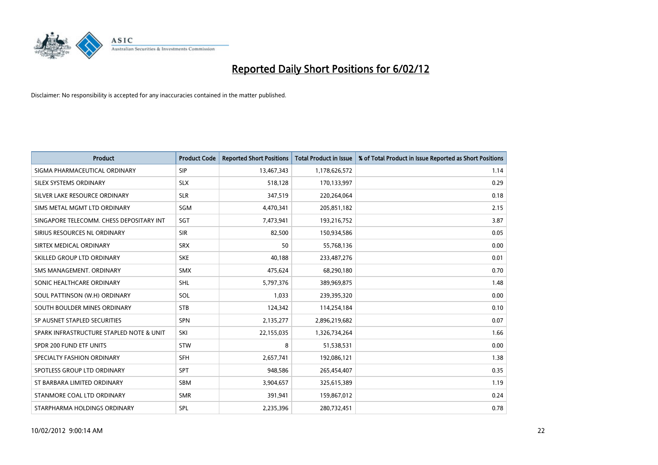

| <b>Product</b>                           | <b>Product Code</b> | <b>Reported Short Positions</b> | <b>Total Product in Issue</b> | % of Total Product in Issue Reported as Short Positions |
|------------------------------------------|---------------------|---------------------------------|-------------------------------|---------------------------------------------------------|
| SIGMA PHARMACEUTICAL ORDINARY            | <b>SIP</b>          | 13,467,343                      | 1,178,626,572                 | 1.14                                                    |
| SILEX SYSTEMS ORDINARY                   | <b>SLX</b>          | 518,128                         | 170,133,997                   | 0.29                                                    |
| SILVER LAKE RESOURCE ORDINARY            | <b>SLR</b>          | 347,519                         | 220,264,064                   | 0.18                                                    |
| SIMS METAL MGMT LTD ORDINARY             | <b>SGM</b>          | 4,470,341                       | 205,851,182                   | 2.15                                                    |
| SINGAPORE TELECOMM. CHESS DEPOSITARY INT | SGT                 | 7,473,941                       | 193,216,752                   | 3.87                                                    |
| SIRIUS RESOURCES NL ORDINARY             | <b>SIR</b>          | 82,500                          | 150,934,586                   | 0.05                                                    |
| SIRTEX MEDICAL ORDINARY                  | <b>SRX</b>          | 50                              | 55,768,136                    | 0.00                                                    |
| SKILLED GROUP LTD ORDINARY               | <b>SKE</b>          | 40,188                          | 233,487,276                   | 0.01                                                    |
| SMS MANAGEMENT, ORDINARY                 | <b>SMX</b>          | 475,624                         | 68,290,180                    | 0.70                                                    |
| SONIC HEALTHCARE ORDINARY                | <b>SHL</b>          | 5,797,376                       | 389,969,875                   | 1.48                                                    |
| SOUL PATTINSON (W.H) ORDINARY            | SOL                 | 1,033                           | 239,395,320                   | 0.00                                                    |
| SOUTH BOULDER MINES ORDINARY             | <b>STB</b>          | 124,342                         | 114,254,184                   | 0.10                                                    |
| SP AUSNET STAPLED SECURITIES             | <b>SPN</b>          | 2,135,277                       | 2,896,219,682                 | 0.07                                                    |
| SPARK INFRASTRUCTURE STAPLED NOTE & UNIT | SKI                 | 22,155,035                      | 1,326,734,264                 | 1.66                                                    |
| SPDR 200 FUND ETF UNITS                  | <b>STW</b>          | 8                               | 51,538,531                    | 0.00                                                    |
| SPECIALTY FASHION ORDINARY               | SFH                 | 2,657,741                       | 192,086,121                   | 1.38                                                    |
| SPOTLESS GROUP LTD ORDINARY              | <b>SPT</b>          | 948,586                         | 265,454,407                   | 0.35                                                    |
| ST BARBARA LIMITED ORDINARY              | <b>SBM</b>          | 3,904,657                       | 325,615,389                   | 1.19                                                    |
| STANMORE COAL LTD ORDINARY               | <b>SMR</b>          | 391,941                         | 159,867,012                   | 0.24                                                    |
| STARPHARMA HOLDINGS ORDINARY             | SPL                 | 2,235,396                       | 280,732,451                   | 0.78                                                    |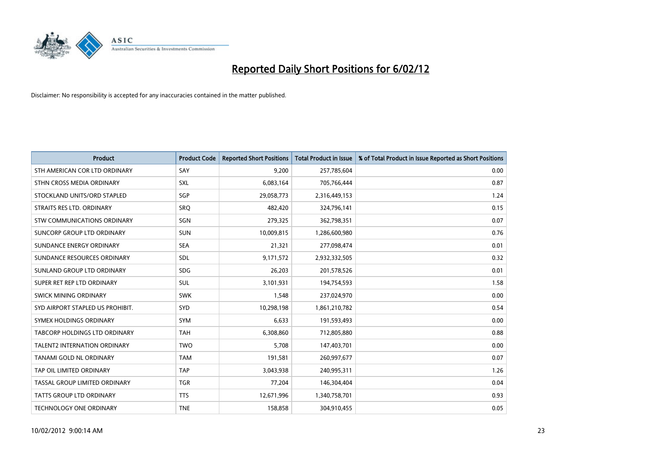

| <b>Product</b>                   | <b>Product Code</b> | <b>Reported Short Positions</b> | <b>Total Product in Issue</b> | % of Total Product in Issue Reported as Short Positions |
|----------------------------------|---------------------|---------------------------------|-------------------------------|---------------------------------------------------------|
| STH AMERICAN COR LTD ORDINARY    | SAY                 | 9,200                           | 257,785,604                   | 0.00                                                    |
| STHN CROSS MEDIA ORDINARY        | <b>SXL</b>          | 6,083,164                       | 705,766,444                   | 0.87                                                    |
| STOCKLAND UNITS/ORD STAPLED      | SGP                 | 29,058,773                      | 2,316,449,153                 | 1.24                                                    |
| STRAITS RES LTD. ORDINARY        | SRQ                 | 482,420                         | 324,796,141                   | 0.15                                                    |
| STW COMMUNICATIONS ORDINARY      | SGN                 | 279,325                         | 362,798,351                   | 0.07                                                    |
| SUNCORP GROUP LTD ORDINARY       | <b>SUN</b>          | 10,009,815                      | 1,286,600,980                 | 0.76                                                    |
| SUNDANCE ENERGY ORDINARY         | <b>SEA</b>          | 21,321                          | 277,098,474                   | 0.01                                                    |
| SUNDANCE RESOURCES ORDINARY      | <b>SDL</b>          | 9,171,572                       | 2,932,332,505                 | 0.32                                                    |
| SUNLAND GROUP LTD ORDINARY       | <b>SDG</b>          | 26,203                          | 201,578,526                   | 0.01                                                    |
| SUPER RET REP LTD ORDINARY       | <b>SUL</b>          | 3,101,931                       | 194,754,593                   | 1.58                                                    |
| SWICK MINING ORDINARY            | <b>SWK</b>          | 1,548                           | 237,024,970                   | 0.00                                                    |
| SYD AIRPORT STAPLED US PROHIBIT. | <b>SYD</b>          | 10,298,198                      | 1,861,210,782                 | 0.54                                                    |
| SYMEX HOLDINGS ORDINARY          | <b>SYM</b>          | 6,633                           | 191,593,493                   | 0.00                                                    |
| TABCORP HOLDINGS LTD ORDINARY    | <b>TAH</b>          | 6,308,860                       | 712,805,880                   | 0.88                                                    |
| TALENT2 INTERNATION ORDINARY     | <b>TWO</b>          | 5,708                           | 147,403,701                   | 0.00                                                    |
| TANAMI GOLD NL ORDINARY          | <b>TAM</b>          | 191,581                         | 260,997,677                   | 0.07                                                    |
| TAP OIL LIMITED ORDINARY         | <b>TAP</b>          | 3,043,938                       | 240,995,311                   | 1.26                                                    |
| TASSAL GROUP LIMITED ORDINARY    | <b>TGR</b>          | 77,204                          | 146,304,404                   | 0.04                                                    |
| <b>TATTS GROUP LTD ORDINARY</b>  | <b>TTS</b>          | 12,671,996                      | 1,340,758,701                 | 0.93                                                    |
| TECHNOLOGY ONE ORDINARY          | <b>TNE</b>          | 158,858                         | 304,910,455                   | 0.05                                                    |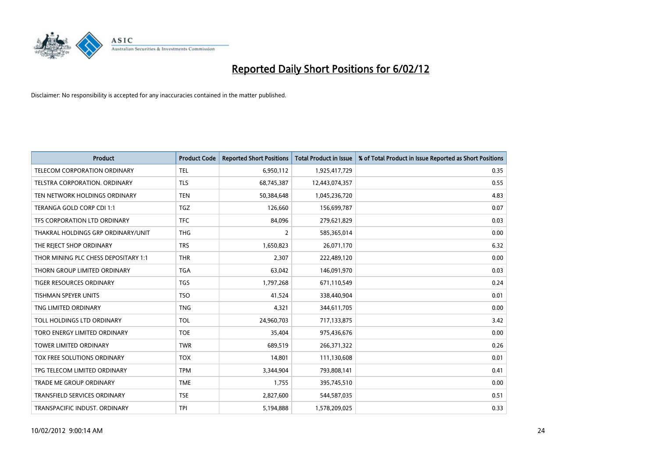

| <b>Product</b>                       | <b>Product Code</b> | <b>Reported Short Positions</b> | <b>Total Product in Issue</b> | % of Total Product in Issue Reported as Short Positions |
|--------------------------------------|---------------------|---------------------------------|-------------------------------|---------------------------------------------------------|
| <b>TELECOM CORPORATION ORDINARY</b>  | <b>TEL</b>          | 6,950,112                       | 1,925,417,729                 | 0.35                                                    |
| TELSTRA CORPORATION. ORDINARY        | <b>TLS</b>          | 68,745,387                      | 12,443,074,357                | 0.55                                                    |
| TEN NETWORK HOLDINGS ORDINARY        | <b>TEN</b>          | 50,384,648                      | 1,045,236,720                 | 4.83                                                    |
| TERANGA GOLD CORP CDI 1:1            | <b>TGZ</b>          | 126,660                         | 156,699,787                   | 0.07                                                    |
| TFS CORPORATION LTD ORDINARY         | <b>TFC</b>          | 84,096                          | 279,621,829                   | 0.03                                                    |
| THAKRAL HOLDINGS GRP ORDINARY/UNIT   | <b>THG</b>          | $\overline{2}$                  | 585,365,014                   | 0.00                                                    |
| THE REJECT SHOP ORDINARY             | <b>TRS</b>          | 1,650,823                       | 26,071,170                    | 6.32                                                    |
| THOR MINING PLC CHESS DEPOSITARY 1:1 | <b>THR</b>          | 2,307                           | 222,489,120                   | 0.00                                                    |
| THORN GROUP LIMITED ORDINARY         | <b>TGA</b>          | 63,042                          | 146,091,970                   | 0.03                                                    |
| <b>TIGER RESOURCES ORDINARY</b>      | <b>TGS</b>          | 1,797,268                       | 671,110,549                   | 0.24                                                    |
| <b>TISHMAN SPEYER UNITS</b>          | <b>TSO</b>          | 41,524                          | 338,440,904                   | 0.01                                                    |
| TNG LIMITED ORDINARY                 | <b>TNG</b>          | 4,321                           | 344,611,705                   | 0.00                                                    |
| TOLL HOLDINGS LTD ORDINARY           | <b>TOL</b>          | 24,960,703                      | 717,133,875                   | 3.42                                                    |
| <b>TORO ENERGY LIMITED ORDINARY</b>  | <b>TOE</b>          | 35,404                          | 975,436,676                   | 0.00                                                    |
| <b>TOWER LIMITED ORDINARY</b>        | <b>TWR</b>          | 689,519                         | 266,371,322                   | 0.26                                                    |
| TOX FREE SOLUTIONS ORDINARY          | <b>TOX</b>          | 14,801                          | 111,130,608                   | 0.01                                                    |
| TPG TELECOM LIMITED ORDINARY         | <b>TPM</b>          | 3,344,904                       | 793,808,141                   | 0.41                                                    |
| TRADE ME GROUP ORDINARY              | <b>TME</b>          | 1,755                           | 395,745,510                   | 0.00                                                    |
| <b>TRANSFIELD SERVICES ORDINARY</b>  | <b>TSE</b>          | 2,827,600                       | 544,587,035                   | 0.51                                                    |
| TRANSPACIFIC INDUST, ORDINARY        | <b>TPI</b>          | 5,194,888                       | 1,578,209,025                 | 0.33                                                    |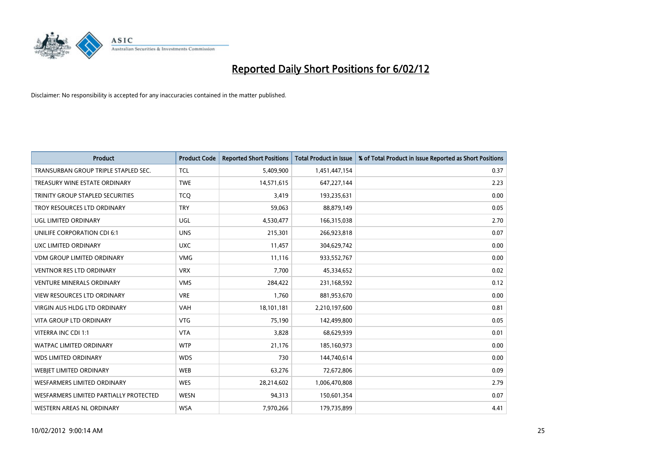

| <b>Product</b>                         | <b>Product Code</b> | <b>Reported Short Positions</b> | <b>Total Product in Issue</b> | % of Total Product in Issue Reported as Short Positions |
|----------------------------------------|---------------------|---------------------------------|-------------------------------|---------------------------------------------------------|
| TRANSURBAN GROUP TRIPLE STAPLED SEC.   | <b>TCL</b>          | 5,409,900                       | 1,451,447,154                 | 0.37                                                    |
| TREASURY WINE ESTATE ORDINARY          | <b>TWE</b>          | 14,571,615                      | 647,227,144                   | 2.23                                                    |
| TRINITY GROUP STAPLED SECURITIES       | <b>TCO</b>          | 3,419                           | 193,235,631                   | 0.00                                                    |
| TROY RESOURCES LTD ORDINARY            | <b>TRY</b>          | 59,063                          | 88,879,149                    | 0.05                                                    |
| <b>UGL LIMITED ORDINARY</b>            | UGL                 | 4,530,477                       | 166,315,038                   | 2.70                                                    |
| UNILIFE CORPORATION CDI 6:1            | <b>UNS</b>          | 215,301                         | 266,923,818                   | 0.07                                                    |
| UXC LIMITED ORDINARY                   | <b>UXC</b>          | 11,457                          | 304,629,742                   | 0.00                                                    |
| VDM GROUP LIMITED ORDINARY             | <b>VMG</b>          | 11,116                          | 933,552,767                   | 0.00                                                    |
| <b>VENTNOR RES LTD ORDINARY</b>        | <b>VRX</b>          | 7,700                           | 45,334,652                    | 0.02                                                    |
| <b>VENTURE MINERALS ORDINARY</b>       | <b>VMS</b>          | 284,422                         | 231,168,592                   | 0.12                                                    |
| VIEW RESOURCES LTD ORDINARY            | <b>VRE</b>          | 1,760                           | 881,953,670                   | 0.00                                                    |
| VIRGIN AUS HLDG LTD ORDINARY           | VAH                 | 18,101,181                      | 2,210,197,600                 | 0.81                                                    |
| <b>VITA GROUP LTD ORDINARY</b>         | <b>VTG</b>          | 75,190                          | 142,499,800                   | 0.05                                                    |
| VITERRA INC CDI 1:1                    | <b>VTA</b>          | 3,828                           | 68,629,939                    | 0.01                                                    |
| <b>WATPAC LIMITED ORDINARY</b>         | <b>WTP</b>          | 21,176                          | 185,160,973                   | 0.00                                                    |
| <b>WDS LIMITED ORDINARY</b>            | <b>WDS</b>          | 730                             | 144,740,614                   | 0.00                                                    |
| <b>WEBIET LIMITED ORDINARY</b>         | <b>WEB</b>          | 63,276                          | 72,672,806                    | 0.09                                                    |
| <b>WESFARMERS LIMITED ORDINARY</b>     | <b>WES</b>          | 28,214,602                      | 1,006,470,808                 | 2.79                                                    |
| WESFARMERS LIMITED PARTIALLY PROTECTED | <b>WESN</b>         | 94,313                          | 150,601,354                   | 0.07                                                    |
| WESTERN AREAS NL ORDINARY              | <b>WSA</b>          | 7,970,266                       | 179,735,899                   | 4.41                                                    |